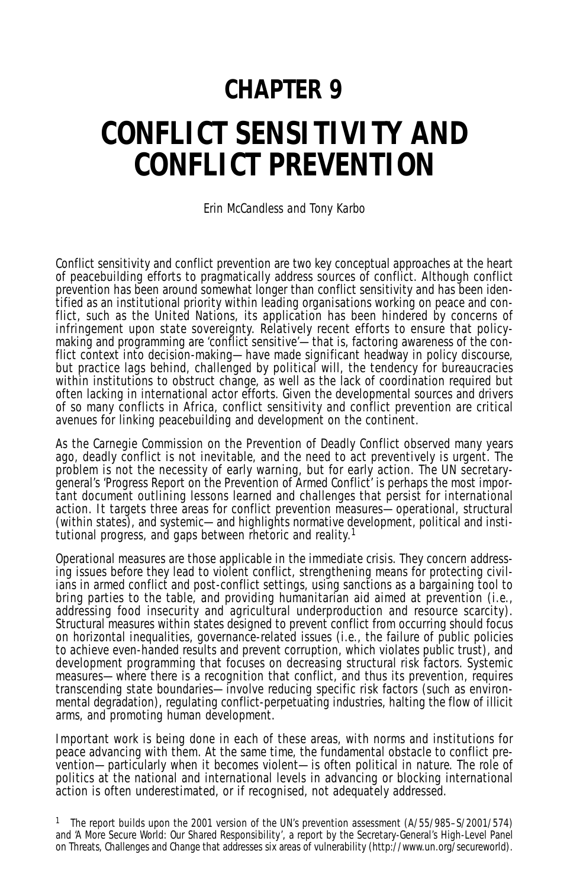# **CHAPTER 9 CONFLICT SENSITIVITY AND CONFLICT PREVENTION**

*Erin McCandless and Tony Karbo* 

Conflict sensitivity and conflict prevention are two key conceptual approaches at the heart of peacebuilding efforts to pragmatically address sources of conflict. Although conflict prevention has been around somewhat longer than conflict sensitivity and has been identified as an institutional priority within leading organisations working on peace and conflict, such as the United Nations, its application has been hindered by concerns of infringement upon state sovereignty. Relatively recent efforts to ensure that policymaking and programming are 'conflict sensitive'—that is, factoring awareness of the conflict context into decision-making—have made significant headway in policy discourse, but practice lags behind, challenged by political will, the tendency for bureaucracies within institutions to obstruct change, as well as the lack of coordination required but often lacking in international actor efforts. Given the developmental sources and drivers of so many conflicts in Africa, conflict sensitivity and conflict prevention are critical avenues for linking peacebuilding and development on the continent.

As the Carnegie Commission on the Prevention of Deadly Conflict observed many years ago, deadly conflict is not inevitable, and the need to act preventively is urgent. The problem is not the necessity of early warning, but for early action. The UN secretarygeneral's 'Progress Report on the Prevention of Armed Conflict' is perhaps the most important document outlining lessons learned and challenges that persist for international action. It targets three areas for conflict prevention measures-operational, structural (within states), and systemic—and highlights normative development, political and institutional progress, and gaps between rhetoric and reality.<sup>1</sup>

Operational measures are those applicable in the immediate crisis. They concern addressing issues before they lead to violent conflict, strengthening means for protecting civilians in armed conflict and post-conflict settings, using sanctions as a bargaining tool to bring parties to the table, and providing humanitarian aid aimed at prevention (i.e., addressing food insecurity and agricultural underproduction and resource scarcity). Structural measures within states designed to prevent conflict from occurring should focus on horizontal inequalities, governance-related issues (i.e., the failure of public policies to achieve even-handed results and prevent corruption, which violates public trust), and development programming that focuses on decreasing structural risk factors. Systemic measures—where there is a recognition that conflict, and thus its prevention, requires transcending state boundaries—involve reducing specific risk factors (such as environmental degradation), regulating conflict-perpetuating industries, halting the flow of illicit arms, and promoting human development.

Important work is being done in each of these areas, with norms and institutions for peace advancing with them. At the same time, the fundamental obstacle to conflict prevention—particularly when it becomes violent—is often political in nature. The role of politics at the national and international levels in advancing or blocking international action is often underestimated, or if recognised, not adequately addressed.

<sup>1</sup> The report builds upon the 2001 version of the UN's prevention assessment (A/55/985–S/2001/574) and 'A More Secure World: Our Shared Responsibility', a report by the Secretary-General's High-Level Panel on Threats, Challenges and Change that addresses six areas of vulnerability (http://www.un.org/secureworld).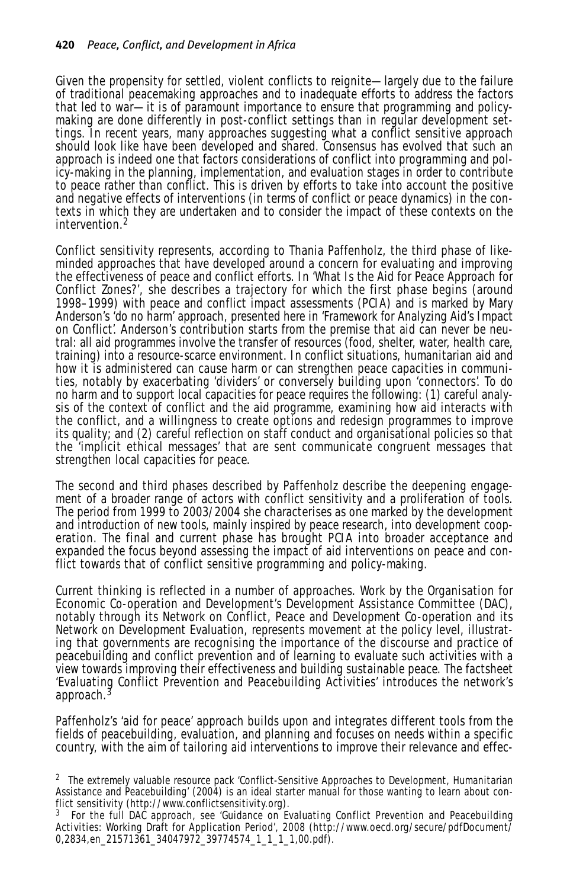Given the propensity for settled, violent conflicts to reignite—largely due to the failure of traditional peacemaking approaches and to inadequate efforts to address the factors that led to war—it is of paramount importance to ensure that programming and policymaking are done differently in post-conflict settings than in regular development settings. In recent years, many approaches suggesting what a conflict sensitive approach should look like have been developed and shared. Consensus has evolved that such an approach is indeed one that factors considerations of conflict into programming and policy-making in the planning, implementation, and evaluation stages in order to contribute to peace rather than conflict. This is driven by efforts to take into account the positive and negative effects of interventions (in terms of conflict or peace dynamics) in the contexts in which they are undertaken and to consider the impact of these contexts on the intervention<sup>2</sup>

Conflict sensitivity represents, according to Thania Paffenholz, the third phase of likeminded approaches that have developed around a concern for evaluating and improving the effectiveness of peace and conflict efforts. In 'What Is the Aid for Peace Approach for Conflict Zones?', she describes a trajectory for which the first phase begins (around 1998–1999) with peace and conflict impact assessments (PCIA) and is marked by Mary Anderson's 'do no harm' approach, presented here in 'Framework for Analyzing Aid's Impact on Conflict'. Anderson's contribution starts from the premise that aid can never be neutral: all aid programmes involve the transfer of resources (food, shelter, water, health care, training) into a resource-scarce environment. In conflict situations, humanitarian aid and how it is administered can cause harm or can strengthen peace capacities in communities, notably by exacerbating 'dividers' or conversely building upon 'connectors'. To do no harm and to support local capacities for peace requires the following: (1) careful analysis of the context of conflict and the aid programme, examining how aid interacts with the conflict, and a willingness to create options and redesign programmes to improve its quality; and (2) careful reflection on staff conduct and organisational policies so that the 'implicit ethical messages' that are sent communicate congruent messages that strengthen local capacities for peace.

The second and third phases described by Paffenholz describe the deepening engagement of a broader range of actors with conflict sensitivity and a proliferation of tools. The period from 1999 to 2003/2004 she characterises as one marked by the development and introduction of new tools, mainly inspired by peace research, into development cooperation. The final and current phase has brought PCIA into broader acceptance and expanded the focus beyond assessing the impact of aid interventions on peace and conflict towards that of conflict sensitive programming and policy-making.

Current thinking is reflected in a number of approaches. Work by the Organisation for Economic Co-operation and Development's Development Assistance Committee (DAC), notably through its Network on Conflict, Peace and Development Co-operation and its Network on Development Evaluation, represents movement at the policy level, illustrating that governments are recognising the importance of the discourse and practice of peacebuilding and conflict prevention and of learning to evaluate such activities with a view towards improving their effectiveness and building sustainable peace. The factsheet 'Evaluating Conflict Prevention and Peacebuilding Activities' introduces the network's approach.

Paffenholz's 'aid for peace' approach builds upon and integrates different tools from the fields of peacebuilding, evaluation, and planning and focuses on needs within a specific country, with the aim of tailoring aid interventions to improve their relevance and effec-

<sup>&</sup>lt;sup>2</sup> The extremely valuable resource pack 'Conflict-Sensitive Approaches to Development, Humanitarian Assistance and Peacebuilding' (2004) is an ideal starter manual for those wanting to learn about conflict sensitivity (http://www.conflictsensitivity.org).

For the full DAC approach, see 'Guidance on Evaluating Conflict Prevention and Peacebuilding Activities: Working Draft for Application Period', 2008 (http://www.oecd.org/secure/pdfDocument/ 0,2834,en\_21571361\_34047972\_39774574\_1\_1\_1\_1,00.pdf).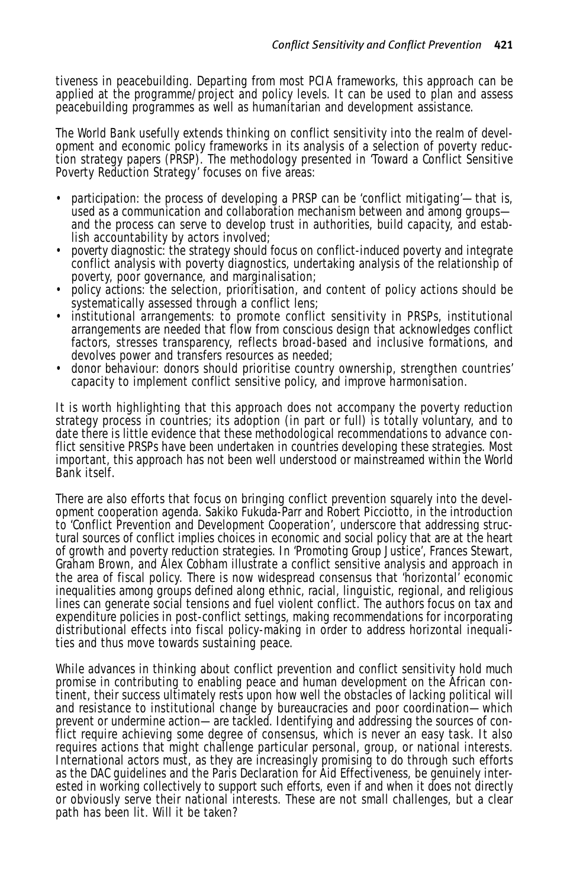tiveness in peacebuilding. Departing from most PCIA frameworks, this approach can be applied at the programme/project and policy levels. It can be used to plan and assess peacebuilding programmes as well as humanitarian and development assistance.

The World Bank usefully extends thinking on conflict sensitivity into the realm of development and economic policy frameworks in its analysis of a selection of poverty reduction strategy papers (PRSP). The methodology presented in 'Toward a Conflict Sensitive Poverty Reduction Strategy' focuses on five areas:

- *participation*: the process of developing a PRSP can be 'conflict mitigating'—that is, used as a communication and collaboration mechanism between and among groups and the process can serve to develop trust in authorities, build capacity, and establish accountability by actors involved;
- *poverty diagnostic*: the strategy should focus on conflict-induced poverty and integrate conflict analysis with poverty diagnostics, undertaking analysis of the relationship of poverty, poor governance, and marginalisation;
- *policy actions*: the selection, prioritisation, and content of policy actions should be systematically assessed through a conflict lens;
- *institutional arrangements*: to promote conflict sensitivity in PRSPs, institutional arrangements are needed that flow from conscious design that acknowledges conflict factors, stresses transparency, reflects broad-based and inclusive formations, and devolves power and transfers resources as needed;
- *donor behaviour*: donors should prioritise country ownership, strengthen countries' capacity to implement conflict sensitive policy, and improve harmonisation.

It is worth highlighting that this approach does not accompany the poverty reduction strategy process in countries; its adoption (in part or full) is totally voluntary, and to date there is little evidence that these methodological recommendations to advance conflict sensitive PRSPs have been undertaken in countries developing these strategies. Most important, this approach has not been well understood or mainstreamed within the World Bank itself.

There are also efforts that focus on bringing conflict prevention squarely into the development cooperation agenda. Sakiko Fukuda-Parr and Robert Picciotto, in the introduction to 'Conflict Prevention and Development Cooperation', underscore that addressing structural sources of conflict implies choices in economic and social policy that are at the heart of growth and poverty reduction strategies. In 'Promoting Group Justice', Frances Stewart, Graham Brown, and Alex Cobham illustrate a conflict sensitive analysis and approach in the area of fiscal policy. There is now widespread consensus that 'horizontal' economic inequalities among groups defined along ethnic, racial, linguistic, regional, and religious lines can generate social tensions and fuel violent conflict. The authors focus on tax and expenditure policies in post-conflict settings, making recommendations for incorporating distributional effects into fiscal policy-making in order to address horizontal inequalities and thus move towards sustaining peace.

While advances in thinking about conflict prevention and conflict sensitivity hold much promise in contributing to enabling peace and human development on the African continent, their success ultimately rests upon how well the obstacles of lacking political will and resistance to institutional change by bureaucracies and poor coordination—which prevent or undermine action—are tackled. Identifying and addressing the sources of conflict require achieving some degree of consensus, which is never an easy task. It also requires actions that might challenge particular personal, group, or national interests. International actors must, as they are increasingly promising to do through such efforts as the DAC guidelines and the Paris Declaration for Aid Effectiveness, be genuinely interested in working collectively to support such efforts, even if and when it does not directly or obviously serve their national interests. These are not small challenges, but a clear path has been lit. Will it be taken?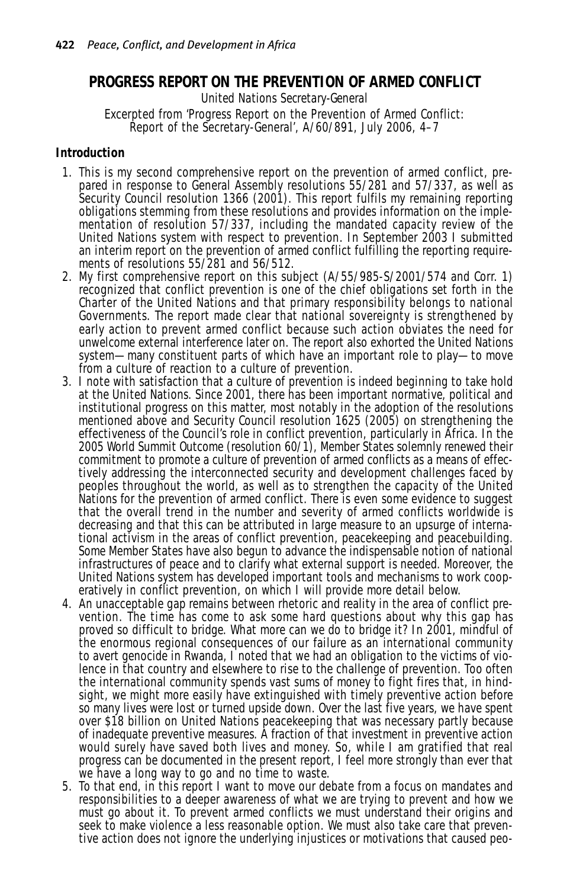# **PROGRESS REPORT ON THE PREVENTION OF ARMED CONFLICT**

*United Nations Secretary-General* Excerpted from 'Progress Report on the Prevention of Armed Conflict: Report of the Secretary-General', A/60/891, July 2006, 4–7

# **Introduction**

- 1. This is my second comprehensive report on the prevention of armed conflict, prepared in response to General Assembly resolutions 55/281 and 57/337, as well as Security Council resolution 1366 (2001). This report fulfils my remaining reporting obligations stemming from these resolutions and provides information on the implementation of resolution 57/337, including the mandated capacity review of the United Nations system with respect to prevention. In September 2003 I submitted an interim report on the prevention of armed conflict fulfilling the reporting requirements of resolutions 55/281 and 56/512.
- 2. My first comprehensive report on this subject (A/55/985-S/2001/574 and Corr. 1) recognized that conflict prevention is one of the chief obligations set forth in the Charter of the United Nations and that primary responsibility belongs to national Governments. The report made clear that national sovereignty is strengthened by early action to prevent armed conflict because such action obviates the need for unwelcome external interference later on. The report also exhorted the United Nations system—many constituent parts of which have an important role to play—to move from a culture of reaction to a culture of prevention.
- 3. I note with satisfaction that a culture of prevention is indeed beginning to take hold at the United Nations. Since 2001, there has been important normative, political and institutional progress on this matter, most notably in the adoption of the resolutions mentioned above and Security Council resolution 1625 (2005) on strengthening the effectiveness of the Council's role in conflict prevention, particularly in Africa. In the 2005 World Summit Outcome (resolution 60/1), Member States solemnly renewed their commitment to promote a culture of prevention of armed conflicts as a means of effectively addressing the interconnected security and development challenges faced by peoples throughout the world, as well as to strengthen the capacity of the United Nations for the prevention of armed conflict. There is even some evidence to suggest that the overall trend in the number and severity of armed conflicts worldwide is decreasing and that this can be attributed in large measure to an upsurge of international activism in the areas of conflict prevention, peacekeeping and peacebuilding. Some Member States have also begun to advance the indispensable notion of national infrastructures of peace and to clarify what external support is needed. Moreover, the United Nations system has developed important tools and mechanisms to work cooperatively in conflict prevention, on which I will provide more detail below.
- 4. An unacceptable gap remains between rhetoric and reality in the area of conflict prevention. The time has come to ask some hard questions about why this gap has proved so difficult to bridge. What more can we do to bridge it? In 2001, mindful of the enormous regional consequences of our failure as an international community to avert genocide in Rwanda, I noted that we had an obligation to the victims of violence in that country and elsewhere to rise to the challenge of prevention. Too often the international community spends vast sums of money to fight fires that, in hindsight, we might more easily have extinguished with timely preventive action before so many lives were lost or turned upside down. Over the last five years, we have spent over \$18 billion on United Nations peacekeeping that was necessary partly because of inadequate preventive measures. A fraction of that investment in preventive action would surely have saved both lives and money. So, while I am gratified that real progress can be documented in the present report, I feel more strongly than ever that we have a long way to go and no time to waste.
- 5. To that end, in this report I want to move our debate from a focus on mandates and responsibilities to a deeper awareness of what we are trying to prevent and how we must go about it. To prevent armed conflicts we must understand their origins and seek to make violence a less reasonable option. We must also take care that preventive action does not ignore the underlying injustices or motivations that caused peo-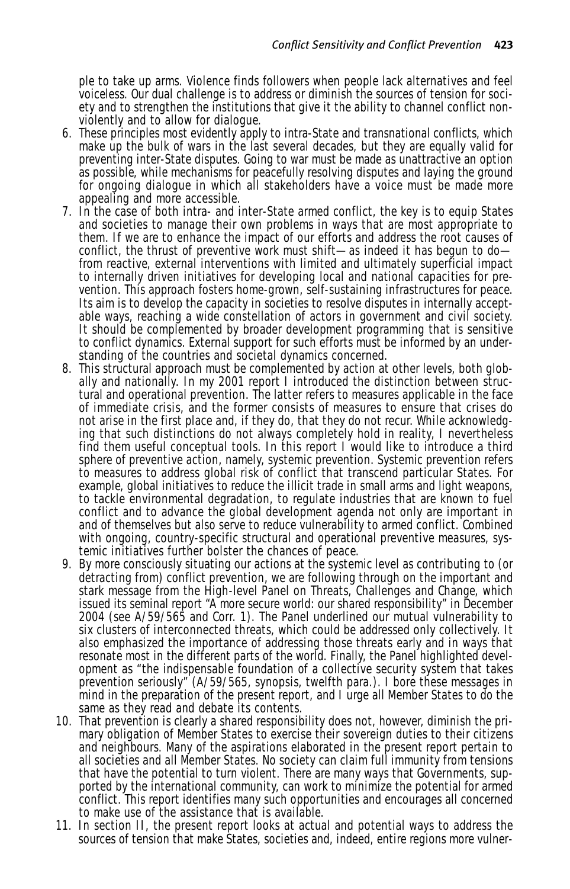ple to take up arms. Violence finds followers when people lack alternatives and feel voiceless. Our dual challenge is to address or diminish the sources of tension for society and to strengthen the institutions that give it the ability to channel conflict nonviolently and to allow for dialogue.

- 6. These principles most evidently apply to intra-State and transnational conflicts, which make up the bulk of wars in the last several decades, but they are equally valid for preventing inter-State disputes. Going to war must be made as unattractive an option as possible, while mechanisms for peacefully resolving disputes and laying the ground for ongoing dialogue in which all stakeholders have a voice must be made more appealing and more accessible.
- 7. In the case of both intra- and inter-State armed conflict, the key is to equip States and societies to manage their own problems in ways that are most appropriate to them. If we are to enhance the impact of our efforts and address the root causes of conflict, the thrust of preventive work must shift—as indeed it has begun to do from reactive, external interventions with limited and ultimately superficial impact to internally driven initiatives for developing local and national capacities for prevention. This approach fosters home-grown, self-sustaining infrastructures for peace. Its aim is to develop the capacity in societies to resolve disputes in internally acceptable ways, reaching a wide constellation of actors in government and civil society. It should be complemented by broader development programming that is sensitive to conflict dynamics. External support for such efforts must be informed by an understanding of the countries and societal dynamics concerned.
- 8. This structural approach must be complemented by action at other levels, both globally and nationally. In my 2001 report I introduced the distinction between structural and operational prevention. The latter refers to measures applicable in the face of immediate crisis, and the former consists of measures to ensure that crises do not arise in the first place and, if they do, that they do not recur. While acknowledging that such distinctions do not always completely hold in reality, I nevertheless find them useful conceptual tools. In this report I would like to introduce a third sphere of preventive action, namely, systemic prevention. Systemic prevention refers to measures to address global risk of conflict that transcend particular States. For example, global initiatives to reduce the illicit trade in small arms and light weapons, to tackle environmental degradation, to regulate industries that are known to fuel conflict and to advance the global development agenda not only are important in and of themselves but also serve to reduce vulnerability to armed conflict. Combined with ongoing, country-specific structural and operational preventive measures, systemic initiatives further bolster the chances of peace.
- 9. By more consciously situating our actions at the systemic level as contributing to (or detracting from) conflict prevention, we are following through on the important and stark message from the High-level Panel on Threats, Challenges and Change, which issued its seminal report "A more secure world: our shared responsibility" in December 2004 (see A/59/565 and Corr. 1). The Panel underlined our mutual vulnerability to six clusters of interconnected threats, which could be addressed only collectively. It also emphasized the importance of addressing those threats early and in ways that resonate most in the different parts of the world. Finally, the Panel highlighted development as "the indispensable foundation of a collective security system that takes prevention seriously" (A/59/565, synopsis, twelfth para.). I bore these messages in mind in the preparation of the present report, and I urge all Member States to do the same as they read and debate its contents.
- 10. That prevention is clearly a shared responsibility does not, however, diminish the primary obligation of Member States to exercise their sovereign duties to their citizens and neighbours. Many of the aspirations elaborated in the present report pertain to all societies and all Member States. No society can claim full immunity from tensions that have the potential to turn violent. There are many ways that Governments, supported by the international community, can work to minimize the potential for armed conflict. This report identifies many such opportunities and encourages all concerned to make use of the assistance that is available.
- 11. In section II, the present report looks at actual and potential ways to address the sources of tension that make States, societies and, indeed, entire regions more vulner-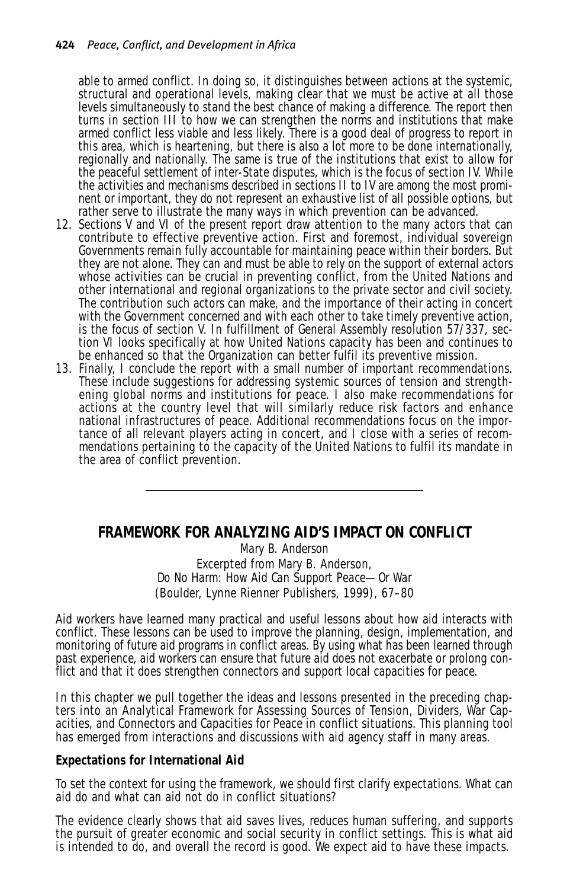able to armed conflict. In doing so, it distinguishes between actions at the systemic, structural and operational levels, making clear that we must be active at all those levels simultaneously to stand the best chance of making a difference. The report then turns in section III to how we can strengthen the norms and institutions that make armed conflict less viable and less likely. There is a good deal of progress to report in this area, which is heartening, but there is also a lot more to be done internationally, regionally and nationally. The same is true of the institutions that exist to allow for the peaceful settlement of inter-State disputes, which is the focus of section IV. While the activities and mechanisms described in sections II to IV are among the most prominent or important, they do not represent an exhaustive list of all possible options, but rather serve to illustrate the many ways in which prevention can be advanced.

- 12. Sections V and VI of the present report draw attention to the many actors that can contribute to effective preventive action. First and foremost, individual sovereign Governments remain fully accountable for maintaining peace within their borders. But they are not alone. They can and must be able to rely on the support of external actors whose activities can be crucial in preventing conflict, from the United Nations and other international and regional organizations to the private sector and civil society. The contribution such actors can make, and the importance of their acting in concert with the Government concerned and with each other to take timely preventive action, is the focus of section V. In fulfillment of General Assembly resolution 57/337, section VI looks specifically at how United Nations capacity has been and continues to be enhanced so that the Organization can better fulfil its preventive mission.
- 13. Finally, I conclude the report with a small number of important recommendations. These include suggestions for addressing systemic sources of tension and strengthening global norms and institutions for peace. I also make recommendations for actions at the country level that will similarly reduce risk factors and enhance national infrastructures of peace. Additional recommendations focus on the importance of all relevant players acting in concert, and I close with a series of recommendations pertaining to the capacity of the United Nations to fulfil its mandate in the area of conflict prevention.

# **FRAMEWORK FOR ANALYZING AID'S IMPACT ON CONFLICT**

*Mary B. Anderson* Excerpted from Mary B. Anderson, *Do No Harm: How Aid Can Support Peace—Or War*  (Boulder, Lynne Rienner Publishers, 1999)*,* 67–80

Aid workers have learned many practical and useful lessons about how aid interacts with conflict. These lessons can be used to improve the planning, design, implementation, and monitoring of future aid programs in conflict areas. By using what has been learned through past experience, aid workers can ensure that future aid does not exacerbate or prolong conflict and that it does strengthen connectors and support local capacities for peace.

In this chapter we pull together the ideas and lessons presented in the preceding chapters into an Analytical Framework for Assessing Sources of Tension, Dividers, War Capacities, and Connectors and Capacities for Peace in conflict situations. This planning tool has emerged from interactions and discussions with aid agency staff in many areas.

# **Expectations for International Aid**

To set the context for using the framework, we should first clarify expectations. What can aid do and what can aid not do in conflict situations?

The evidence clearly shows that aid saves lives, reduces human suffering, and supports the pursuit of greater economic and social security in conflict settings. This is what aid is intended to do, and overall the record is good. We expect aid to have these impacts.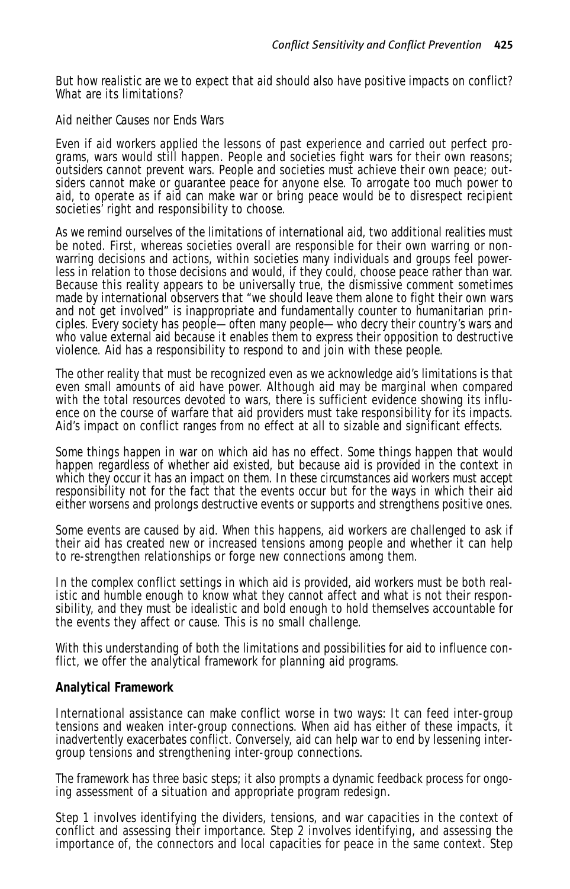But how realistic are we to expect that aid should also have positive impacts on conflict? What are its limitations?

### *Aid neither Causes nor Ends Wars*

Even if aid workers applied the lessons of past experience and carried out perfect programs, wars would still happen. People and societies fight wars for their own reasons; outsiders cannot prevent wars. People and societies must achieve their own peace; outsiders cannot make or guarantee peace for anyone else. To arrogate too much power to aid, to operate as if aid can make war or bring peace would be to disrespect recipient societies' right and responsibility to choose.

As we remind ourselves of the limitations of international aid, two additional realities must be noted. First, whereas societies overall are responsible for their own warring or nonwarring decisions and actions, within societies many individuals and groups feel powerless in relation to those decisions and would, if they could, choose peace rather than war. Because this reality appears to be universally true, the dismissive comment sometimes made by international observers that "we should leave them alone to fight their own wars and not get involved" is inappropriate and fundamentally counter to humanitarian principles. Every society has people—often many people—who decry their country's wars and who value external aid because it enables them to express their opposition to destructive violence. Aid has a responsibility to respond to and join with these people.

The other reality that must be recognized even as we acknowledge aid's limitations is that even small amounts of aid have power. Although aid may be marginal when compared with the total resources devoted to wars, there is sufficient evidence showing its influence on the course of warfare that aid providers must take responsibility for its impacts. Aid's impact on conflict ranges from no effect at all to sizable and significant effects.

Some things happen in war on which aid has no effect. Some things happen that would happen regardless of whether aid existed, but because aid is provided in the context in which they occur it has an impact on them. In these circumstances aid workers must accept responsibility not for the fact that the events occur but for the ways in which their aid either worsens and prolongs destructive events or supports and strengthens positive ones.

Some events are caused by aid. When this happens, aid workers are challenged to ask if their aid has created new or increased tensions among people and whether it can help to re-strengthen relationships or forge new connections among them.

In the complex conflict settings in which aid is provided, aid workers must be both realistic and humble enough to know what they cannot affect and what is not their responsibility, and they must be idealistic and bold enough to hold themselves accountable for the events they affect or cause. This is no small challenge.

With this understanding of both the limitations and possibilities for aid to influence conflict, we offer the analytical framework for planning aid programs.

# **Analytical Framework**

International assistance can make conflict worse in two ways: It can feed inter-group tensions and weaken inter-group connections. When aid has either of these impacts, it inadvertently exacerbates conflict. Conversely, aid can help war to end by lessening intergroup tensions and strengthening inter-group connections.

The framework has three basic steps; it also prompts a dynamic feedback process for ongoing assessment of a situation and appropriate program redesign.

Step 1 involves identifying the dividers, tensions, and war capacities in the context of conflict and assessing their importance. Step 2 involves identifying, and assessing the importance *of,* the connectors and local capacities for peace in the same context. Step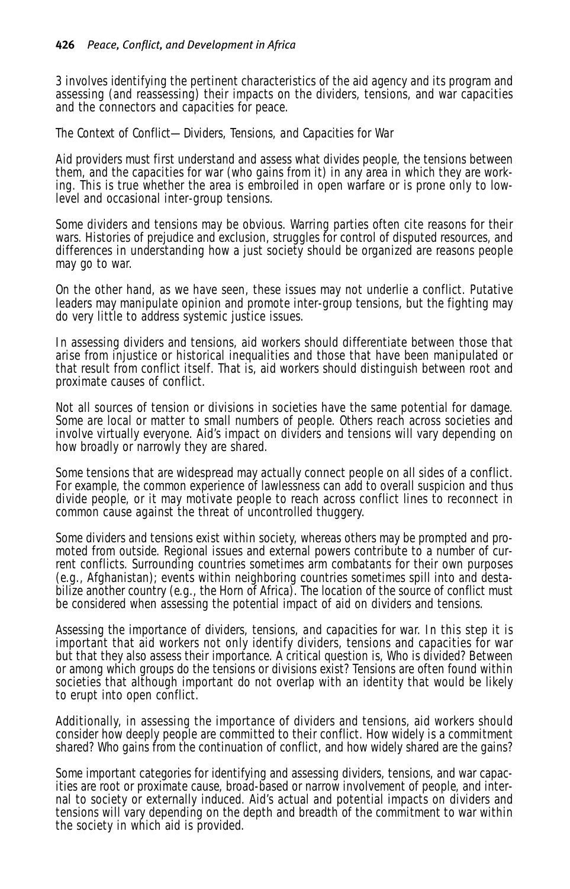3 involves identifying the pertinent characteristics of the aid agency and its program and assessing (and reassessing) their impacts on the dividers, tensions, and war capacities and the connectors and capacities *for* peace.

### *The Context of Conflict—Dividers, Tensions, and Capacities for War*

Aid providers must first understand and assess what divides people, the tensions between them, and the capacities for war (who gains from it) in any area in which they are working. This is true whether the area is embroiled in open warfare or is prone only to lowlevel and occasional inter-group tensions.

Some dividers and tensions may be obvious. Warring parties often cite reasons for their wars. Histories of prejudice and exclusion, struggles for control of disputed resources, and differences in understanding how a just society should be organized are reasons people may go to war.

On the other hand, as we have seen, these issues may not underlie a conflict. Putative leaders may manipulate opinion and promote inter-group tensions, but the fighting may do very little to address systemic justice issues.

In assessing dividers and tensions, aid workers should differentiate between those that arise from injustice or historical inequalities and those that have been manipulated or that result from conflict itself. That is, aid workers should distinguish between root and proximate causes of conflict.

Not all sources of tension or divisions in societies have the same potential for damage. Some are local or matter to small numbers of people. Others reach across societies and involve virtually everyone. Aid's impact on dividers and tensions will vary depending on how broadly or narrowly they are shared.

Some tensions that are widespread may actually connect people on all sides of a conflict. For example, the common experience of lawlessness can add to overall suspicion and thus divide people, or it may motivate people to reach across conflict lines to reconnect in common cause against the threat of uncontrolled thuggery.

Some dividers and tensions exist within society, whereas others may be prompted and promoted from outside. Regional issues and external powers contribute to a number of current conflicts. Surrounding countries sometimes arm combatants for their own purposes (e.g., Afghanistan); events within neighboring countries sometimes spill into and destabilize another country (e.g., the Horn of Africa). The location of the source of conflict must be considered when assessing the potential impact of aid on dividers and tensions.

*Assessing the importance of dividers, tensions, and capacities for war.* In this step it is important that aid workers not only identify dividers, tensions and capacities for war but that they also assess their importance. A critical question is, Who is divided? Between or among which groups do the tensions or divisions exist? Tensions are often found within societies that although important do not overlap with an identity that would be likely to erupt into open conflict.

Additionally, in assessing the importance of dividers and tensions, aid workers should consider how deeply people are committed to their conflict. How widely is a commitment shared? Who gains from the continuation of conflict, and how widely shared are the gains?

Some important categories for identifying and assessing dividers, tensions, and war capacities are root or proximate cause, broad-based or narrow involvement of people, and internal to society or externally induced. Aid's actual and potential impacts on dividers and tensions will vary depending on the depth and breadth of the commitment to war within the society in which aid is provided.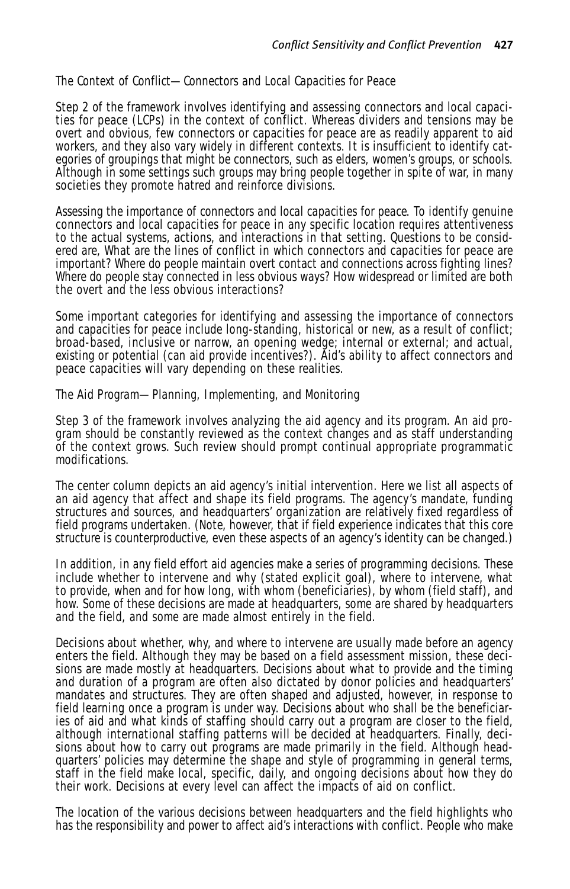# *The Context of Conflict—Connectors and Local Capacities for Peace*

Step 2 of the framework involves identifying and assessing connectors and local capacities for peace (LCPs) in the context of conflict. Whereas dividers and tensions may be overt and obvious, few connectors or capacities for peace are as readily apparent to aid workers, and they also vary widely in different contexts. It is insufficient to identify categories of groupings that might be connectors, such as elders, women's groups, or schools. Although in some settings such groups may bring people together in spite of war, in many societies they promote hatred and reinforce divisions.

*Assessing the importance of connectors and local capacities for peace.* To identify genuine connectors and local capacities for peace in any specific location requires attentiveness to the actual systems, actions, and interactions in that setting. Questions to be considered are, What are the lines of conflict in which connectors and capacities for peace are important? Where do people maintain overt contact and connections across fighting lines? Where do people stay connected in less obvious ways? How widespread or limited are both the overt and the less obvious interactions?

Some important categories for identifying and assessing the importance of connectors and capacities for peace include long-standing, historical or new, as a result of conflict; broad-based, inclusive or narrow, an opening wedge; internal or external; and actual, *existing* or potential (can aid provide incentives?). Aid's ability to affect connectors and peace capacities will vary depending on these realities.

#### *The Aid Program—Planning, Implementing, and Monitoring*

Step 3 of the framework involves analyzing the aid agency and its program. An aid program should be constantly reviewed as the context changes and as staff understanding of the context grows. Such review should prompt continual appropriate programmatic modifications.

The center column depicts an aid agency's initial intervention. Here we list all aspects of an aid agency that affect and shape its field programs. The agency's mandate, funding structures and sources, and headquarters' organization are relatively fixed regardless of field programs undertaken. (Note, however, that if field experience indicates that this core structure is counterproductive, even these aspects of an agency's identity can be changed.)

In addition, in any field effort aid agencies make a series of programming decisions. These include whether to intervene and why (stated explicit goal), where to intervene, what to provide, when and for how long, with whom (beneficiaries), by whom (field staff), and how. Some of these decisions are made at headquarters, some are shared by headquarters and the field, and some are made almost entirely in the field.

Decisions about whether, why, and where to intervene are usually made before an agency enters the field. Although they may be based on a field assessment mission, these decisions are made mostly at headquarters. Decisions about what to provide and the timing and duration of a program are often also dictated by donor policies and headquarters' mandates and structures. They are often shaped and adjusted, however, in response to field learning once a program is under way. Decisions about who shall be the beneficiaries of aid and what kinds of staffing should carry out a program are closer to the field, although international staffing patterns will be decided at headquarters. Finally, decisions about how to carry out programs are made primarily in the field. Although headquarters' policies may determine the shape and style of programming in general terms, staff in the field make local, specific, daily, and ongoing decisions about how they do their work. Decisions at every level can affect the impacts of aid on conflict.

The location of the various decisions between headquarters and the field highlights who has the responsibility and power to affect aid's interactions with conflict. People who make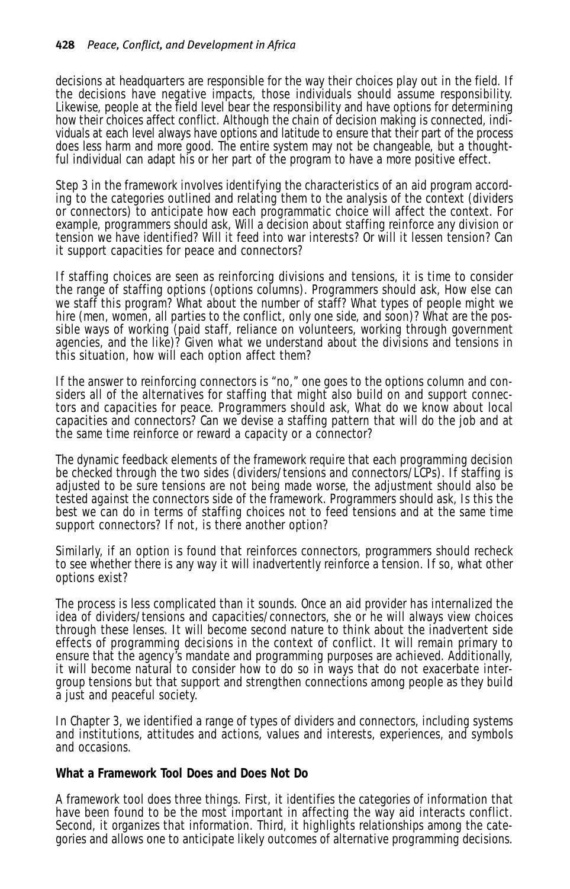decisions at headquarters are responsible for the way their choices play out in the field. If the decisions have negative impacts, those individuals should assume responsibility. Likewise, people at the field level bear the responsibility and have options for determining how their choices affect conflict. Although the chain of decision making is connected, individuals at each level always have options and latitude to ensure that their part of the process does less harm and more good. The entire system may not be changeable, but a thoughtful individual can adapt his or her part of the program to have a more positive effect.

Step 3 in the framework involves identifying the characteristics of an aid program according to the categories outlined and relating them to the analysis of the context (dividers or connectors) to anticipate how each programmatic choice will affect the context. For example, programmers should ask, Will a decision about staffing reinforce any division or tension we have identified? Will it feed into war interests? Or will it lessen tension? Can it support capacities for peace and connectors?

If staffing choices are seen as reinforcing divisions and tensions, it is time to consider the range of staffing options (options columns). Programmers should ask, How else can we staff this program? What about the number of staff? What types of people might we hire (men, women, all parties to the conflict, only one side, and soon)? What are the possible ways of working (paid staff, reliance on volunteers, working through government agencies, and the like)? Given what we understand about the divisions and tensions in this situation, how will each option affect them?

If the answer to reinforcing connectors is "no," one goes to the options column and considers all of the alternatives for staffing that might also build on and support connectors and capacities for peace. Programmers should ask, What do we know about local capacities and connectors? Can we devise a staffing pattern that will do the job and at the same time reinforce or reward a capacity or a connector?

The dynamic feedback elements of the framework require that each programming decision be checked through the two sides (dividers/tensions and connectors/LCPs). If staffing is adjusted to be sure tensions are not being made worse, the adjustment should also be tested against the connectors side of the framework. Programmers should ask, Is this the best we can do in terms of staffing choices not to feed tensions and at the same time support connectors? If not, is there another option?

Similarly, if an option is found that reinforces connectors, programmers should recheck to see whether there is any way it will inadvertently reinforce a tension. If so, what other options exist?

The process is less complicated than it sounds. Once an aid provider has internalized the idea of dividers/tensions and capacities/connectors, she or he will always view choices through these lenses. It will become second nature to think about the inadvertent side effects of programming decisions in the context of conflict. It will remain primary to ensure that the agency's mandate and programming purposes are achieved. Additionally, it will become natural to consider how to do so in ways that do not exacerbate intergroup tensions but that support and strengthen connections among people as they build a just and peaceful society.

In Chapter 3, we identified a range of types of dividers and connectors, including systems and institutions, attitudes and actions, values and interests, experiences, and symbols and occasions.

# **What a Framework Tool Does and Does Not Do**

A framework tool does three things. First, it identifies the *categories* of information that have been found to be the most important in affecting the way aid interacts conflict. Second, it *organizes* that information. Third, it highlights *relationships* among the categories and allows one to anticipate likely outcomes of alternative programming decisions.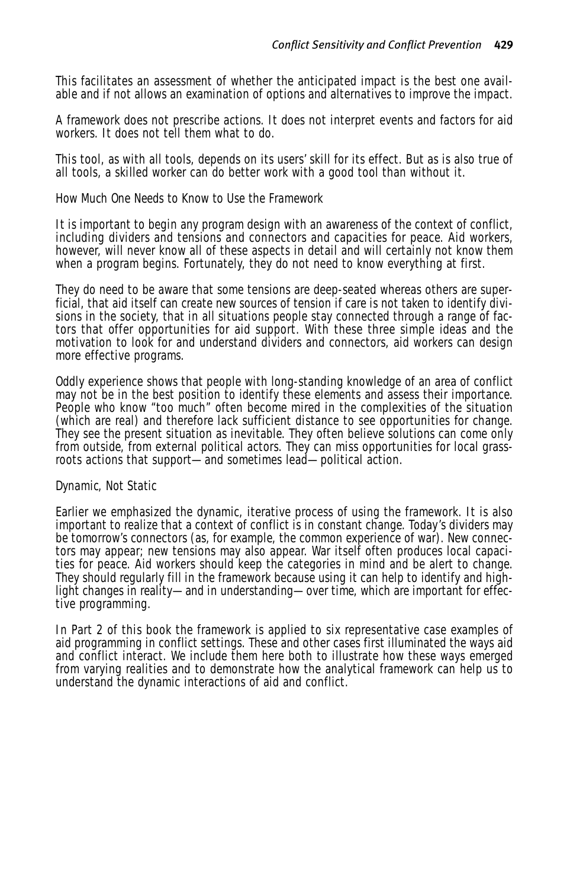This facilitates an assessment of whether the anticipated impact is the best one available and if not allows an examination of options and alternatives to improve the impact.

A framework does not prescribe actions. It does not interpret events and factors for aid workers. It does not tell them what to do.

This tool, as with all tools, depends on its users' skill for its effect. But as is also true of all tools, a skilled worker can do better work with a good tool than without it.

### *How Much One Needs to Know to Use the Framework*

It is important to begin any program design with an awareness of the context of conflict, including dividers and tensions and connectors and capacities for peace. Aid workers, however, will never know all of these aspects in detail and will certainly not know them when a program begins. Fortunately, they do not need to know everything at first.

They *do* need to be aware that some tensions are deep-seated whereas others are superficial, that aid itself can create new sources of tension if care is not taken to identify divisions in the society, that in all situations people stay connected through a range of factors that offer opportunities for aid support. With these three simple ideas and the motivation to look for and understand dividers and connectors, aid workers can design more effective programs.

Oddly experience shows that people with long-standing knowledge of an area of conflict may not be in the best position to identify these elements and assess their importance. People who know "too much" often become mired in the complexities of the situation (which are real) and therefore lack sufficient distance to see opportunities for change. They see the present situation as inevitable. They often believe solutions can come only from outside, from external political actors. They can miss opportunities for local grassroots actions that support—and sometimes lead—political action.

#### *Dynamic, Not Static*

Earlier we emphasized the dynamic, iterative process of using the framework. It is also important to realize that a context of conflict is in constant change. Today's dividers may be tomorrow's connectors (as, for example, the common experience of war). New connectors may appear; new tensions may also appear. War itself often produces local capacities for peace. Aid workers should keep the categories in mind and be alert to change. They should regularly fill in the framework because using it can help to identify and highlight changes in reality—and in understanding—over time, which are important for effective programming.

In Part 2 of this book the framework is applied to six representative case examples of aid programming in conflict settings. These and other cases first illuminated the ways aid and conflict interact. We include them here both to illustrate how these ways emerged from varying realities and to demonstrate how the analytical framework can help us to understand the dynamic interactions of aid and conflict.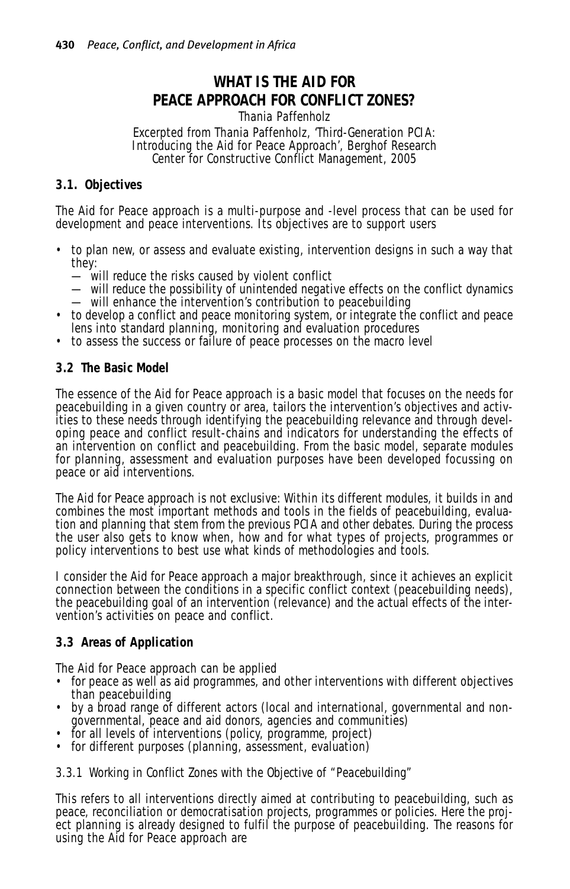# **WHAT IS THE AID FOR PEACE APPROACH FOR CONFLICT ZONES?**

*Thania Paffenholz* Excerpted from Thania Paffenholz, 'Third-Generation PCIA: Introducing the Aid for Peace Approach', Berghof Research Center for Constructive Conflict Management, 2005

# **3.1. Objectives**

The Aid for Peace approach is a multi-purpose and -level process that can be used for development and peace interventions. Its objectives are to support users

- to plan new, or assess and evaluate existing, intervention designs in such a way that they:
	- will reduce the risks caused by violent conflict
	- will reduce the possibility of unintended negative effects on the conflict dynamics — will enhance the intervention's contribution to peacebuilding
- to develop a conflict and peace monitoring system, or integrate the conflict and peace lens into standard planning, monitoring and evaluation procedures
- to assess the success or failure of peace processes on the macro level

# **3.2 The Basic Model**

The essence of the Aid for Peace approach is a basic model that focuses on the needs for peacebuilding in a given country or area, tailors the intervention's objectives and activities to these needs through identifying the peacebuilding relevance and through developing peace and conflict result-chains and indicators for understanding the effects of an intervention on conflict and peacebuilding. From the basic model, separate modules for planning, assessment and evaluation purposes have been developed focussing on peace or aid interventions.

The Aid for Peace approach is not exclusive: Within its different modules, it builds in and combines the most important methods and tools in the fields of peacebuilding, evaluation and planning that stem from the previous PCIA and other debates. During the process the user also gets to know when, how and for what types of projects, programmes or policy interventions to best use what kinds of methodologies and tools.

I consider the Aid for Peace approach a major breakthrough, since it achieves an explicit connection between the conditions in a specific conflict context (peacebuilding needs), the peacebuilding goal of an intervention (relevance) and the actual effects of the intervention's activities on peace and conflict.

# **3.3 Areas of Application**

The Aid for Peace approach can be applied

- for peace as well as aid programmes, and other interventions with different objectives than peacebuilding
- by a broad range of different actors (local and international, governmental and nongovernmental, peace and aid donors, agencies and communities)
- For all levels of interventions (policy, programme, project)
- for different purposes (planning, assessment, evaluation)

# *3.3.1 Working in Conflict Zones with the Objective of "Peacebuilding"*

This refers to all interventions directly aimed at contributing to peacebuilding, such as peace, reconciliation or democratisation projects, programmes or policies. Here the project planning is already designed to fulfil the purpose of peacebuilding. The reasons for using the Aid for Peace approach are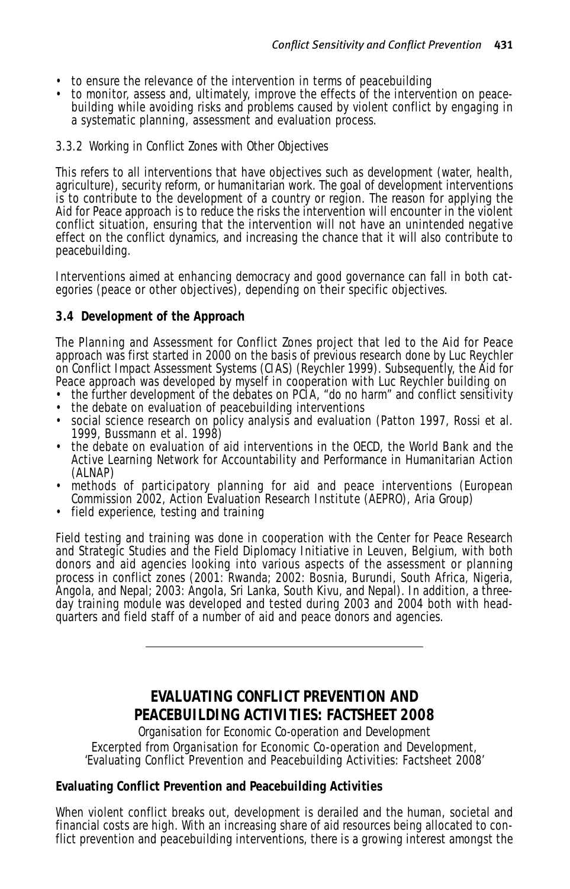- to ensure the relevance of the intervention in terms of peacebuilding
- to monitor, assess and, ultimately, improve the effects of the intervention on peacebuilding while avoiding risks and problems caused by violent conflict by engaging in a systematic planning, assessment and evaluation process.

# *3.3.2 Working in Conflict Zones with Other Objectives*

This refers to all interventions that have objectives such as development (water, health, agriculture), security reform, or humanitarian work. The goal of development interventions is to contribute to the development of a country or region. The reason for applying the Aid for Peace approach is to reduce the risks the intervention will encounter in the violent conflict situation, ensuring that the intervention will not have an unintended negative effect on the conflict dynamics, and increasing the chance that it will also contribute to peacebuilding.

Interventions aimed at enhancing democracy and good governance can fall in both categories (peace or other objectives), depending on their specific objectives.

# **3.4 Development of the Approach**

The Planning and Assessment for Conflict Zones project that led to the Aid for Peace approach was first started in 2000 on the basis of previous research done by Luc Reychler on Conflict Impact Assessment Systems (CIAS) (Reychler 1999). Subsequently, the Aid for Peace approach was developed by myself in cooperation with Luc Reychler building on

- the further development of the debates on PCIA, "do no harm" and conflict sensitivity
- the debate on evaluation of peacebuilding interventions
- social science research on policy analysis and evaluation (Patton 1997, Rossi et al. 1999, Bussmann et al. 1998)
- the debate on evaluation of aid interventions in the OECD, the World Bank and the Active Learning Network for Accountability and Performance in Humanitarian Action (ALNAP)
- methods of participatory planning for aid and peace interventions (European Commission 2002, Action Evaluation Research Institute (AEPRO), Aria Group)
- field experience, testing and training

Field testing and training was done in cooperation with the Center for Peace Research and Strategic Studies and the Field Diplomacy Initiative in Leuven, Belgium, with both donors and aid agencies looking into various aspects of the assessment or planning process in conflict zones (2001: Rwanda; 2002: Bosnia, Burundi, South Africa, Nigeria, Angola, and Nepal; 2003: Angola, Sri Lanka, South Kivu, and Nepal). In addition, a threeday training module was developed and tested during 2003 and 2004 both with headquarters and field staff of a number of aid and peace donors and agencies.

# **EVALUATING CONFLICT PREVENTION AND PEACEBUILDING ACTIVITIES: FACTSHEET 2008**

*Organisation for Economic Co-operation and Development* Excerpted from Organisation for Economic Co-operation and Development, 'Evaluating Conflict Prevention and Peacebuilding Activities: Factsheet 2008'

# **Evaluating Conflict Prevention and Peacebuilding Activities**

When violent conflict breaks out, development is derailed and the human, societal and financial costs are high. With an increasing share of aid resources being allocated to conflict prevention and peacebuilding interventions, there is a growing interest amongst the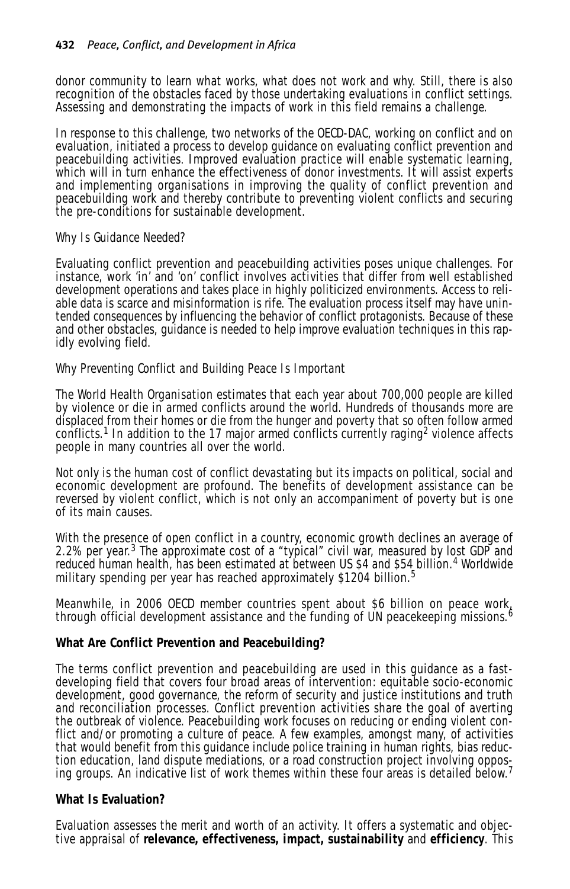donor community to learn what works, what does not work and why. Still, there is also recognition of the obstacles faced by those undertaking evaluations in conflict settings. Assessing and demonstrating the impacts of work in this field remains a challenge.

In response to this challenge, two networks of the OECD-DAC, working on conflict and on evaluation, initiated a process to develop guidance on evaluating conflict prevention and peacebuilding activities. Improved evaluation practice will enable systematic learning, which will in turn enhance the effectiveness of donor investments. It will assist experts and implementing organisations in improving the quality of conflict prevention and peacebuilding work and thereby contribute to preventing violent conflicts and securing the pre-conditions for sustainable development.

# *Why Is Guidance Needed?*

Evaluating conflict prevention and peacebuilding activities poses unique challenges. For instance, work 'in' and 'on' conflict involves activities that differ from well established development operations and takes place in highly politicized environments. Access to reliable data is scarce and misinformation is rife. The evaluation process itself may have unintended consequences by influencing the behavior of conflict protagonists. Because of these and other obstacles, guidance is needed to help improve evaluation techniques in this rapidly evolving field.

# *Why Preventing Conflict and Building Peace Is Important*

The World Health Organisation estimates that each year about 700,000 people are killed by violence or die in armed conflicts around the world. Hundreds of thousands more are displaced from their homes or die from the hunger and poverty that so often follow armed conflicts.1 In addition to the 17 major armed conflicts currently raging2 violence affects people in many countries all over the world.

Not only is the human cost of conflict devastating but its impacts on political, social and economic development are profound. The benefits of development assistance can be reversed by violent conflict, which is not only an accompaniment of poverty but is one of its main causes.

With the presence of open conflict in a country, economic growth declines an average of 2.2% per year.<sup>3</sup> The approximate cost of a "typical" civil war, measured by lost GDP and reduced human health, has been estimated at between US \$4 and \$54 billion.4 Worldwide military spending per year has reached approximately \$1204 billion.<sup>5</sup>

Meanwhile, in 2006 OECD member countries spent about \$6 billion on peace work, through official development assistance and the funding of UN peacekeeping missions.6

# **What Are Conflict Prevention and Peacebuilding?**

The terms conflict prevention and peacebuilding are used in this guidance as a fastdeveloping field that covers four broad areas of intervention: equitable socio-economic development, good governance, the reform of security and justice institutions and truth and reconciliation processes. Conflict prevention activities share the goal of averting the outbreak of violence. Peacebuilding work focuses on reducing or ending violent conflict and/or promoting a culture of peace. A few examples, amongst many, of activities that would benefit from this guidance include police training in human rights, bias reduction education, land dispute mediations, or a road construction project involving opposing groups. An indicative list of work themes within these four areas is detailed below.<sup>7</sup>

# **What Is Evaluation?**

Evaluation assesses the merit and worth of an activity. It offers a systematic and objective appraisal of **relevance, effectiveness, impact, sustainability** and **efficiency**. This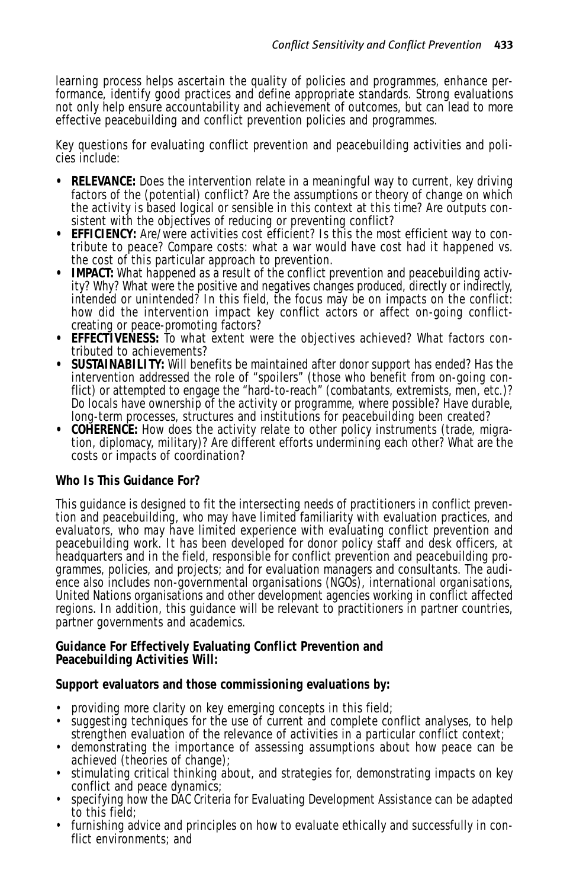learning process helps ascertain the quality of policies and programmes, enhance performance, identify good practices and define appropriate standards. Strong evaluations not only help ensure accountability and achievement of outcomes, but can lead to more effective peacebuilding and conflict prevention policies and programmes.

Key questions for evaluating conflict prevention and peacebuilding activities and policies include:

- **RELEVANCE:** Does the intervention relate in a meaningful way to current, key driving factors of the (potential) conflict? Are the assumptions or theory of change on which the activity is based logical or sensible in this context at this time? Are outputs consistent with the objectives of reducing or preventing conflict?
- **EFFICIENCY:** Are/were activities cost efficient? Is this the most efficient way to contribute to peace? Compare costs: what a war would have cost had it happened vs. the cost of this particular approach to prevention.
- **IMPACT:** What happened as a result of the conflict prevention and peacebuilding activity? Why? What were the positive and negatives changes produced, directly or indirectly, intended or unintended? In this field, the focus may be on impacts on the conflict: how did the intervention impact key conflict actors or affect on-going conflictcreating or peace-promoting factors?
- **EFFECTIVENESS:** To what extent were the objectives achieved? What factors contributed to achievements?
- **SUSTAINABILITY:** Will benefits be maintained after donor support has ended? Has the intervention addressed the role of "spoilers" (those who benefit from on-going conflict) or attempted to engage the "hard-to-reach" (combatants, extremists, men, etc.)? Do locals have ownership of the activity or programme, where possible? Have durable, long-term processes, structures and institutions for peacebuilding been created?
- **COHERENCE:** How does the activity relate to other policy instruments (trade, migration, diplomacy, military)? Are different efforts undermining each other? What are the costs or impacts of coordination?

# **Who Is This Guidance For?**

This guidance is designed to fit the intersecting needs of practitioners in conflict prevention and peacebuilding, who may have limited familiarity with evaluation practices, and evaluators, who may have limited experience with evaluating conflict prevention and peacebuilding work. It has been developed for donor policy staff and desk officers, at headquarters and in the field, responsible for conflict prevention and peacebuilding programmes, policies, and projects; and for evaluation managers and consultants. The audience also includes non-governmental organisations (NGOs), international organisations, United Nations organisations and other development agencies working in conflict affected regions. In addition, this guidance will be relevant to practitioners in partner countries, partner governments and academics.

### **Guidance For Effectively Evaluating Conflict Prevention and Peacebuilding Activities Will:**

# **Support evaluators and those commissioning evaluations by:**

- providing more clarity on key emerging concepts in this field;
- suggesting techniques for the use of current and complete conflict analyses, to help strengthen evaluation of the relevance of activities in a particular conflict context;
- demonstrating the importance of assessing assumptions about how peace can be achieved (theories of change);
- stimulating critical thinking about, and strategies for, demonstrating impacts on key conflict and peace dynamics;
- specifying how the DAC Criteria for Evaluating Development Assistance can be adapted to this field;
- furnishing advice and principles on how to evaluate ethically and successfully in conflict environments; and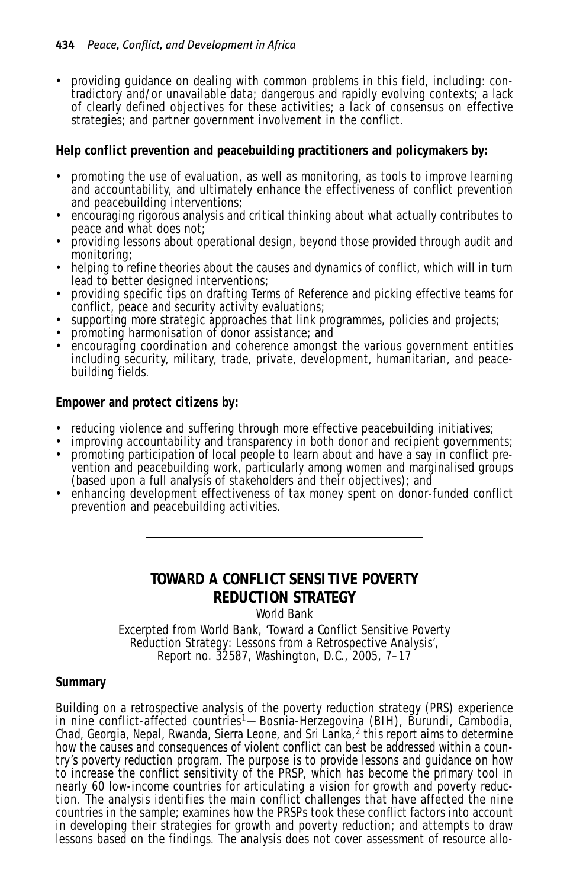• providing guidance on dealing with common problems in this field, including: contradictory and/or unavailable data; dangerous and rapidly evolving contexts; a lack of clearly defined objectives for these activities; a lack of consensus on effective strategies; and partner government involvement in the conflict.

# **Help conflict prevention and peacebuilding practitioners and policymakers by:**

- promoting the use of evaluation, as well as monitoring, as tools to improve learning and accountability, and ultimately enhance the effectiveness of conflict prevention and peacebuilding interventions;
- encouraging rigorous analysis and critical thinking about what actually contributes to peace and what does not;
- providing lessons about operational design, beyond those provided through audit and monitoring;
- helping to refine theories about the causes and dynamics of conflict, which will in turn lead to better designed interventions;
- providing specific tips on drafting Terms of Reference and picking effective teams for conflict, peace and security activity evaluations;
- supporting more strategic approaches that link programmes, policies and projects;
- promoting harmonisation of donor assistance; and
- encouraging coordination and coherence amongst the various government entities including security, military, trade, private, development, humanitarian, and peacebuilding fields.

# **Empower and protect citizens by:**

- reducing violence and suffering through more effective peacebuilding initiatives;
- improving accountability and transparency in both donor and recipient governments;
- promoting participation of local people to learn about and have a say in conflict prevention and peacebuilding work, particularly among women and marginalised groups (based upon a full analysis of stakeholders and their objectives); and
- enhancing development effectiveness of tax money spent on donor-funded conflict prevention and peacebuilding activities.

# **TOWARD A CONFLICT SENSITIVE POVERTY REDUCTION STRATEGY**

*World Bank*

Excerpted from World Bank, 'Toward a Conflict Sensitive Poverty Reduction Strategy: Lessons from a Retrospective Analysis', Report no. 32587, Washington, D.C., 2005, 7–17

# **Summary**

Building on a retrospective analysis of the poverty reduction strategy (PRS) experience in nine conflict-affected countries<sup>1</sup>—Bosnia-Herzegovina (BIH), Burundi, Cambodia, Chad, Georgia, Nepal, Rwanda, Sierra Leone, and Sri Lanka,<sup>2</sup> this report aims to determine how the causes and consequences of violent conflict can best be addressed within a country's poverty reduction program. The purpose is to provide lessons and guidance on how to increase the conflict sensitivity of the PRSP, which has become the primary tool in nearly 60 low-income countries for articulating a vision for growth and poverty reduction. The analysis identifies the main conflict challenges that have affected the nine countries in the sample; examines how the PRSPs took these conflict factors into account in developing their strategies for growth and poverty reduction; and attempts to draw lessons based on the findings. The analysis does not cover assessment of resource allo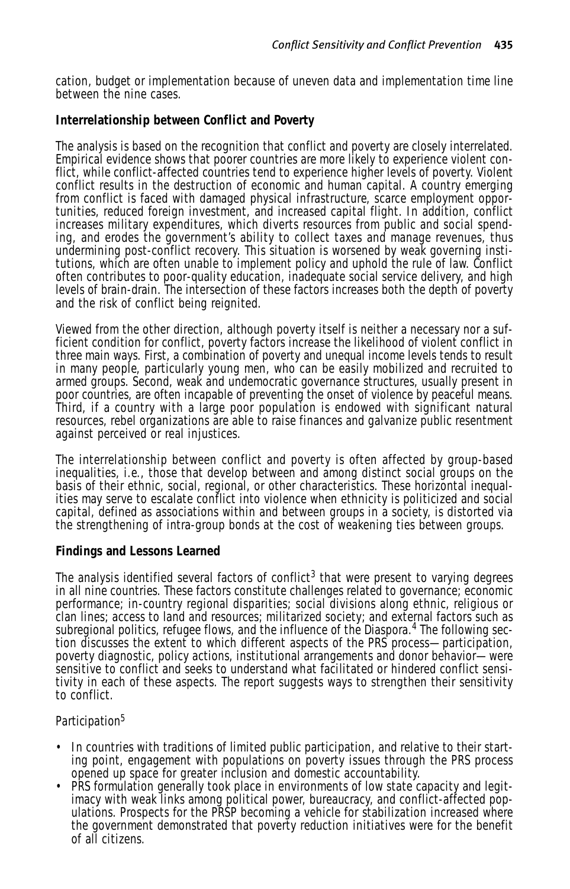cation, budget or implementation because of uneven data and implementation time line between the nine cases.

# **Interrelationship between Conflict and Poverty**

The analysis is based on the recognition that conflict and poverty are closely interrelated. Empirical evidence shows that poorer countries are more likely to experience violent conflict, while conflict-affected countries tend to experience higher levels of poverty. Violent conflict results in the destruction of economic and human capital. A country emerging from conflict is faced with damaged physical infrastructure, scarce employment opportunities, reduced foreign investment, and increased capital flight. In addition, conflict increases military expenditures, which diverts resources from public and social spending, and erodes the government's ability to collect taxes and manage revenues, thus undermining post-conflict recovery. This situation is worsened by weak governing institutions, which are often unable to implement policy and uphold the rule of law. Conflict often contributes to poor-quality education, inadequate social service delivery, and high levels of brain-drain. The intersection of these factors increases both the depth of poverty and the risk of conflict being reignited.

Viewed from the other direction, although poverty itself is neither a necessary nor a sufficient condition for conflict, poverty factors increase the likelihood of violent conflict in three main ways. First, a combination of poverty and unequal income levels tends to result in many people, particularly young men, who can be easily mobilized and recruited to armed groups. Second, weak and undemocratic governance structures, usually present in poor countries, are often incapable of preventing the onset of violence by peaceful means. Third, if a country with a large poor population is endowed with significant natural resources, rebel organizations are able to raise finances and galvanize public resentment against perceived or real injustices.

The interrelationship between conflict and poverty is often affected by group-based inequalities, i.e., those that develop between and among distinct social groups on the basis of their ethnic, social, regional, or other characteristics. These horizontal inequalities may serve to escalate conflict into violence when ethnicity is politicized and social capital, defined as associations within and between groups in a society, is distorted via the strengthening of intra-group bonds at the cost of weakening ties between groups.

# **Findings and Lessons Learned**

The analysis identified several factors of conflict<sup>3</sup> that were present to varying degrees in all nine countries. These factors constitute challenges related to governance; economic performance; in-country regional disparities; social divisions along ethnic, religious or clan lines; access to land and resources; militarized society; and external factors such as subregional politics, refugee flows, and the influence of the Diaspora.4 The following section discusses the extent to which different aspects of the PRS process—participation, poverty diagnostic, policy actions, institutional arrangements and donor behavior—were sensitive to conflict and seeks to understand what facilitated or hindered conflict sensitivity in each of these aspects. The report suggests ways to strengthen their sensitivity to conflict.

# *Participation5*

- In countries with traditions of limited public participation, and relative to their starting point, engagement with populations on poverty issues through the PRS process opened up space for greater inclusion and domestic accountability.
- PRS formulation generally took place in environments of low state capacity and legitimacy with weak links among political power, bureaucracy, and conflict-affected populations. Prospects for the PRSP becoming a vehicle for stabilization increased where the government demonstrated that poverty reduction initiatives were for the benefit of all citizens.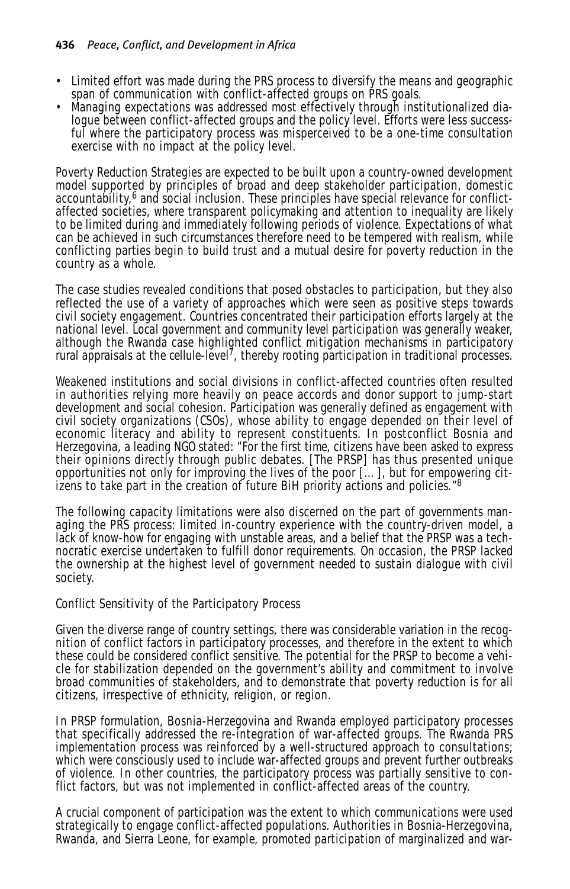- Limited effort was made during the PRS process to diversify the means and geographic span of communication with conflict-affected groups on PRS goals.
- Managing expectations was addressed most effectively through institutionalized dialogue between conflict-affected groups and the policy level. Efforts were less successful where the participatory process was misperceived to be a one-time consultation exercise with no impact at the policy level.

Poverty Reduction Strategies are expected to be built upon a country-owned development model supported by principles of broad and deep stakeholder participation, domestic  $accountability<sub>0</sub>$  and social inclusion. These principles have special relevance for conflictaffected societies, where transparent policymaking and attention to inequality are likely to be limited during and immediately following periods of violence. Expectations of what can be achieved in such circumstances therefore need to be tempered with realism, while conflicting parties begin to build trust and a mutual desire for poverty reduction in the country as a whole.

The case studies revealed conditions that posed obstacles to participation, but they also reflected the use of a variety of approaches which were seen as positive steps towards civil society engagement. Countries concentrated their participation efforts largely at the *national* level. *Local government and community level* participation was generally weaker, although the Rwanda case highlighted conflict mitigation mechanisms in participatory rural appraisals at the *cellule*-level7, thereby rooting participation in traditional processes.

Weakened institutions and social divisions in conflict-affected countries often resulted in authorities relying more heavily on peace accords and *donor support* to jump-start development and social cohesion. Participation was generally defined as engagement with *civil society organizations* (CSOs), whose ability to engage depended on their level of economic literacy and ability to represent constituents. In postconflict Bosnia and Herzegovina, a leading NGO stated: "For the first time, citizens have been asked to express their opinions directly through public debates. [The PRSP] has thus presented unique opportunities not only for improving the lives of the poor […], but for empowering citizens to take part in the creation of future BiH priority actions and policies."<sup>8</sup>

The following capacity limitations were also discerned on the part of *governments* managing the PRS process: limited in-country experience with the country-driven model, a lack of know-how for engaging with unstable areas, and a belief that the PRSP was a technocratic exercise undertaken to fulfill donor requirements. On occasion, the PRSP lacked the ownership at the highest level of government needed to sustain dialogue with civil society.

#### Conflict Sensitivity of the Participatory Process

Given the diverse range of country settings, there was considerable variation in the recognition of conflict factors in participatory processes, and therefore in the extent to which these could be considered conflict sensitive. The potential for the PRSP to become a vehicle for stabilization depended on the government's ability and commitment to involve broad communities of stakeholders, and to demonstrate that poverty reduction is for all citizens, irrespective of ethnicity, religion, or region.

In PRSP *formulation*, Bosnia-Herzegovina and Rwanda employed participatory processes that specifically addressed the re-integration of war-affected groups. The Rwanda PRS *implementation* process was reinforced by a well-structured approach to consultations; which were consciously used to include war-affected groups and prevent further outbreaks of violence. In other countries, the participatory process was partially sensitive to conflict factors, but was not implemented in conflict-affected areas of the country.

A crucial component of participation was the extent to which communications were used strategically to engage conflict-affected populations. Authorities in Bosnia-Herzegovina, Rwanda, and Sierra Leone, for example, promoted participation of marginalized and war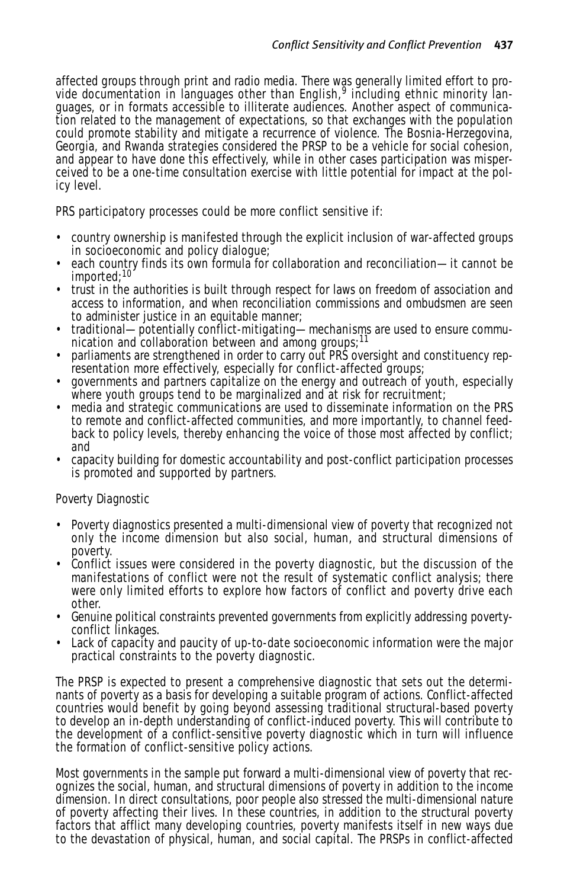affected groups through print and radio media. There was generally limited effort to provide documentation in languages other than English,<sup>9</sup> including ethnic minority languages, or in formats accessible to illiterate audiences. Another aspect of communication related to the management of expectations, so that exchanges with the population could promote stability and mitigate a recurrence of violence. The Bosnia-Herzegovina, Georgia, and Rwanda strategies considered the PRSP to be a vehicle for social cohesion, and appear to have done this effectively, while in other cases participation was misperceived to be a one-time consultation exercise with little potential for impact at the policy level.

PRS participatory processes could be more conflict sensitive if:

- country ownership is manifested through the explicit inclusion of war-affected groups in socioeconomic and policy dialogue;
- each country finds its own formula for collaboration and reconciliation—it cannot be imported:<sup>10</sup>
- trust in the authorities is built through respect for laws on freedom of association and access to information, and when reconciliation commissions and ombudsmen are seen to administer justice in an equitable manner;
- traditional—potentially conflict-mitigating—mechanisms are used to ensure communication and collaboration between and among groups;  $11$
- parliaments are strengthened in order to carry out PRS oversight and constituency representation more effectively, especially for conflict-affected groups;
- governments and partners capitalize on the energy and outreach of youth, especially where youth groups tend to be marginalized and at risk for recruitment;
- media and strategic communications are used to disseminate information on the PRS to remote and conflict-affected communities, and more importantly, to channel feedback to policy levels, thereby enhancing the voice of those most affected by conflict; and
- capacity building for domestic accountability and post-conflict participation processes is promoted and supported by partners.

# *Poverty Diagnostic*

- Poverty diagnostics presented a multi-dimensional view of poverty that recognized not only the income dimension but also social, human, and structural dimensions of poverty.
- Conflict issues were considered in the poverty diagnostic, but the discussion of the manifestations of conflict were not the result of systematic conflict analysis; there were only limited efforts to explore how factors of conflict and poverty drive each other.
- Genuine political constraints prevented governments from explicitly addressing povertyconflict linkages.
- Lack of capacity and paucity of up-to-date socioeconomic information were the major practical constraints to the poverty diagnostic.

The PRSP is expected to present a comprehensive diagnostic that sets out the determinants of poverty as a basis for developing a suitable program of actions. Conflict-affected countries would benefit by going beyond assessing traditional structural-based poverty to develop an in-depth understanding of conflict-induced poverty. This will contribute to the development of a conflict-sensitive poverty diagnostic which in turn will influence the formation of conflict-sensitive policy actions.

Most governments in the sample put forward a multi-dimensional view of poverty that recognizes the social, human, and structural dimensions of poverty in addition to the income dimension. In direct consultations, poor people also stressed the multi-dimensional nature of poverty affecting their lives. In these countries, in addition to the structural poverty factors that afflict many developing countries, poverty manifests itself in new ways due to the devastation of physical, human, and social capital. The PRSPs in conflict-affected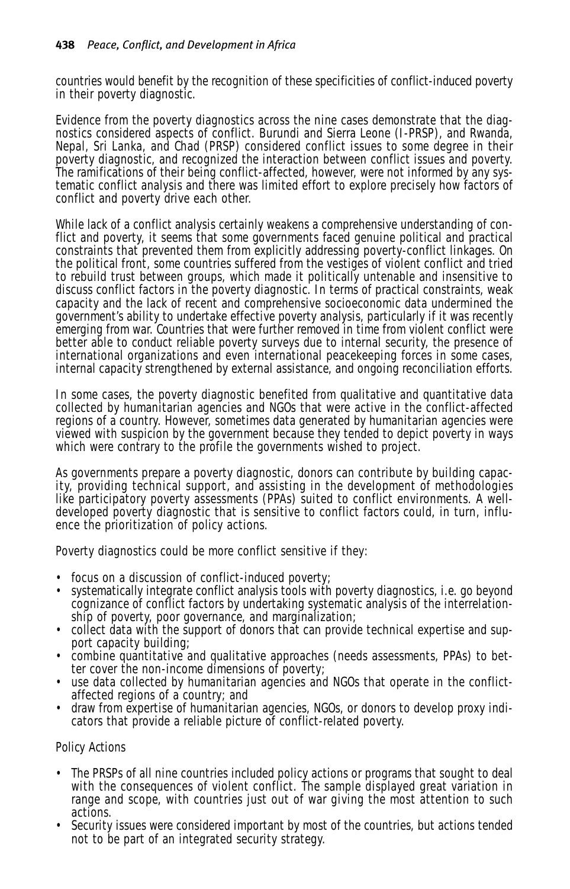countries would benefit by the recognition of these specificities of conflict-induced poverty in their poverty diagnostic.

Evidence from the poverty diagnostics across the nine cases demonstrate that the diagnostics considered aspects of conflict. Burundi and Sierra Leone (I-PRSP), and Rwanda, Nepal, Sri Lanka, and Chad (PRSP) considered conflict issues to some degree in their poverty diagnostic, and recognized the interaction between conflict issues and poverty. The ramifications of their being conflict-affected, however, were not informed by any systematic conflict analysis and there was limited effort to explore precisely how factors of conflict and poverty drive each other.

While lack of a conflict analysis certainly weakens a comprehensive understanding of conflict and poverty, it seems that some governments faced genuine political and practical constraints that prevented them from explicitly addressing poverty-conflict linkages. On the political front, some countries suffered from the vestiges of violent conflict and tried to rebuild trust between groups, which made it politically untenable and insensitive to discuss conflict factors in the poverty diagnostic. In terms of practical constraints, weak capacity and the lack of recent and comprehensive socioeconomic data undermined the government's ability to undertake effective poverty analysis, particularly if it was recently emerging from war. Countries that were further removed in time from violent conflict were better able to conduct reliable poverty surveys due to internal security, the presence of international organizations and even international peacekeeping forces in some cases, internal capacity strengthened by external assistance, and ongoing reconciliation efforts.

In some cases, the poverty diagnostic benefited from qualitative and quantitative data collected by humanitarian agencies and NGOs that were active in the conflict-affected regions of a country. However, sometimes data generated by humanitarian agencies were viewed with suspicion by the government because they tended to depict poverty in ways which were contrary to the profile the governments wished to project.

As governments prepare a poverty diagnostic, donors can contribute by building capacity, providing technical support, and assisting in the development of methodologies like participatory poverty assessments (PPAs) suited to conflict environments. A welldeveloped poverty diagnostic that is sensitive to conflict factors could, in turn, influence the prioritization of policy actions.

Poverty diagnostics could be more conflict sensitive if they:

- focus on a discussion of conflict-induced poverty;
- systematically integrate conflict analysis tools with poverty diagnostics, i.e. go beyond cognizance of conflict factors by undertaking systematic analysis of the interrelationship of poverty, poor governance, and marginalization;
- collect data with the support of donors that can provide technical expertise and support capacity building;
- combine quantitative and qualitative approaches (needs assessments, PPAs) to better cover the non-income dimensions of poverty;
- use data collected by humanitarian agencies and NGOs that operate in the conflictaffected regions of a country; and
- draw from expertise of humanitarian agencies, NGOs, or donors to develop proxy indicators that provide a reliable picture of conflict-related poverty.

# *Policy Actions*

- The PRSPs of all nine countries included policy actions or programs that sought to deal with the consequences of violent conflict. The sample displayed great variation in range and scope, with countries just out of war giving the most attention to such actions.
- Security issues were considered important by most of the countries, but actions tended not to be part of an integrated security strategy.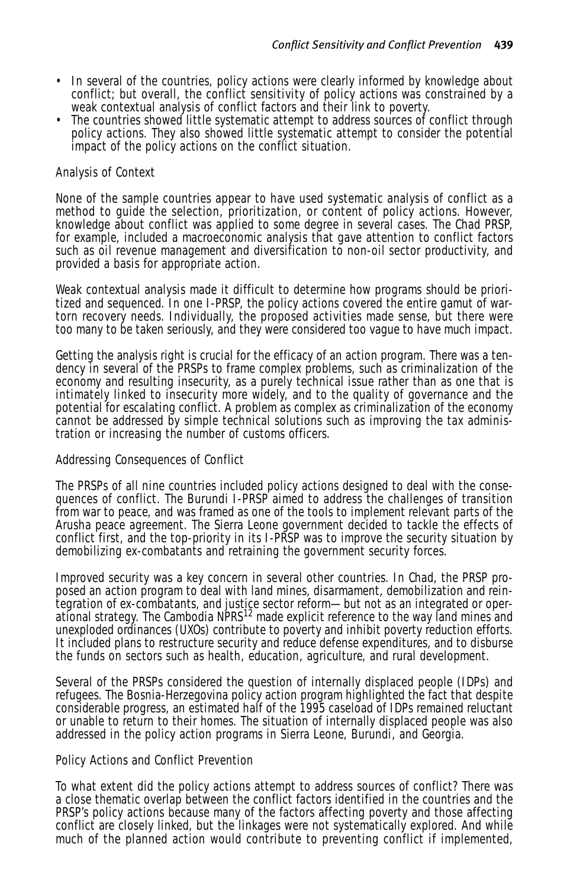- In several of the countries, policy actions were clearly informed by knowledge about conflict; but overall, the conflict sensitivity of policy actions was constrained by a weak contextual analysis of conflict factors and their link to poverty.
- The countries showed little systematic attempt to address sources of conflict through policy actions. They also showed little systematic attempt to consider the potential impact of the policy actions on the conflict situation.

# Analysis of Context

None of the sample countries appear to have used systematic analysis of conflict as a method to guide the selection, prioritization, or content of policy actions. However, knowledge about conflict was applied to some degree in several cases. The Chad PRSP, for example, included a macroeconomic analysis that gave attention to conflict factors such as oil revenue management and diversification to non-oil sector productivity, and provided a basis for appropriate action.

Weak contextual analysis made it difficult to determine how programs should be prioritized and sequenced. In one I-PRSP, the policy actions covered the entire gamut of wartorn recovery needs. Individually, the proposed activities made sense, but there were too many to be taken seriously, and they were considered too vague to have much impact.

Getting the analysis right is crucial for the efficacy of an action program. There was a tendency in several of the PRSPs to frame complex problems, such as criminalization of the economy and resulting insecurity, as a purely technical issue rather than as one that is intimately linked to insecurity more widely, and to the quality of governance and the potential for escalating conflict. A problem as complex as criminalization of the economy cannot be addressed by simple technical solutions such as improving the tax administration or increasing the number of customs officers.

#### Addressing Consequences of Conflict

The PRSPs of all nine countries included policy actions designed to deal with the consequences of conflict. The Burundi I-PRSP aimed to address the challenges of transition from war to peace, and was framed as one of the tools to implement relevant parts of the Arusha peace agreement. The Sierra Leone government decided to tackle the effects of conflict first, and the top-priority in its I-PRSP was to improve the security situation by demobilizing ex-combatants and retraining the government security forces.

Improved security was a key concern in several other countries. In Chad, the PRSP proposed an action program to deal with land mines, disarmament, demobilization and reintegration of ex-combatants, and justice sector reform—but not as an integrated or operational strategy. The Cambodia NPRS<sup>12</sup> made explicit reference to the way land mines and unexploded ordinances (UXOs) contribute to poverty and inhibit poverty reduction efforts. It included plans to restructure security and reduce defense expenditures, and to disburse the funds on sectors such as health, education, agriculture, and rural development.

Several of the PRSPs considered the question of internally displaced people (IDPs) and refugees. The Bosnia-Herzegovina policy action program highlighted the fact that despite considerable progress, an estimated half of the 1995 caseload of IDPs remained reluctant or unable to return to their homes. The situation of internally displaced people was also addressed in the policy action programs in Sierra Leone, Burundi, and Georgia.

# Policy Actions and Conflict Prevention

To what extent did the policy actions attempt to address sources of conflict? There was a close thematic overlap between the conflict factors identified in the countries and the PRSP's policy actions because many of the factors affecting poverty and those affecting conflict are closely linked, but the linkages were not systematically explored. And while much of the planned action would contribute to preventing conflict if implemented,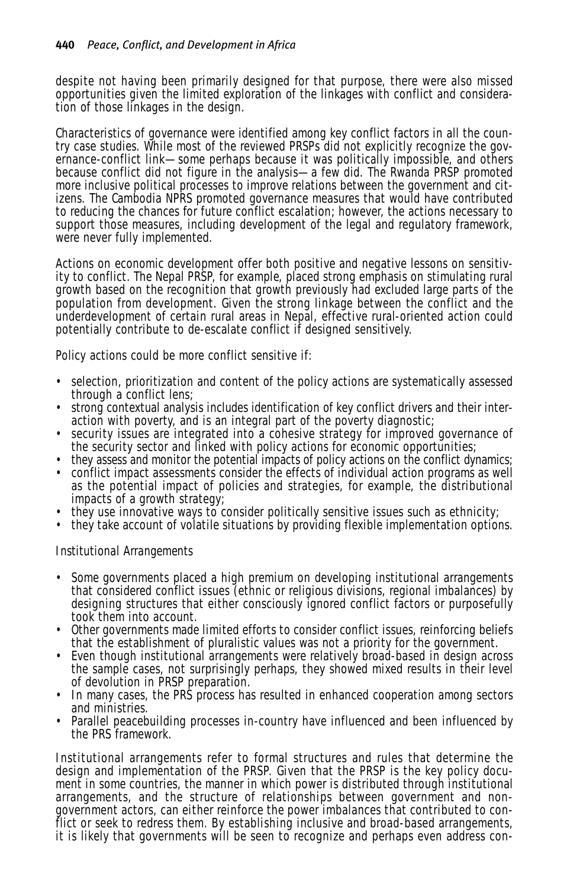despite not having been primarily designed for that purpose, there were also missed opportunities given the limited exploration of the linkages with conflict and consideration of those linkages in the design.

Characteristics of governance were identified among key conflict factors in all the country case studies. While most of the reviewed PRSPs did not explicitly recognize the governance-conflict link—some perhaps because it was politically impossible, and others because conflict did not figure in the analysis—a few did. The Rwanda PRSP promoted more inclusive political processes to improve relations between the government and citizens. The Cambodia NPRS promoted governance measures that would have contributed to reducing the chances for future conflict escalation; however, the actions necessary to support those measures, including development of the legal and regulatory framework, were never fully implemented.

Actions on economic development offer both positive and negative lessons on sensitivity to conflict. The Nepal PRSP, for example, placed strong emphasis on stimulating rural growth based on the recognition that growth previously had excluded large parts of the population from development. Given the strong linkage between the conflict and the underdevelopment of certain rural areas in Nepal, effective rural-oriented action could potentially contribute to de-escalate conflict if designed sensitively.

Policy actions could be more conflict sensitive if:

- selection, prioritization and content of the policy actions are systematically assessed through a conflict lens;
- strong contextual analysis includes identification of key conflict drivers and their interaction with poverty, and is an integral part of the poverty diagnostic;
- security issues are integrated into a cohesive strategy for improved governance of the security sector and linked with policy actions for economic opportunities;
- they assess and monitor the potential impacts of policy actions on the conflict dynamics;
- conflict impact assessments consider the effects of individual action programs as well as the potential impact of policies and strategies, for example, the distributional impacts of a growth strategy;
- they use innovative ways to consider politically sensitive issues such as ethnicity;
- they take account of volatile situations by providing flexible implementation options.

# *Institutional Arrangements*

- Some governments placed a high premium on developing institutional arrangements that considered conflict issues (ethnic or religious divisions, regional imbalances) by designing structures that either consciously ignored conflict factors or purposefully took them into account.
- Other governments made limited efforts to consider conflict issues, reinforcing beliefs that the establishment of pluralistic values was not a priority for the government.
- Even though institutional arrangements were relatively broad-based in design across the sample cases, not surprisingly perhaps, they showed mixed results in their level of devolution in PRSP preparation.
- In many cases, the PRS process has resulted in enhanced cooperation among sectors and ministries.
- Parallel peacebuilding processes in-country have influenced and been influenced by the PRS framework.

Institutional arrangements refer to formal structures and rules that determine the design and implementation of the PRSP. Given that the PRSP is the key policy document in some countries, the manner in which power is distributed through institutional arrangements, and the structure of relationships between government and nongovernment actors, can either reinforce the power imbalances that contributed to conflict or seek to redress them. By establishing inclusive and broad-based arrangements, it is likely that governments will be seen to recognize and perhaps even address con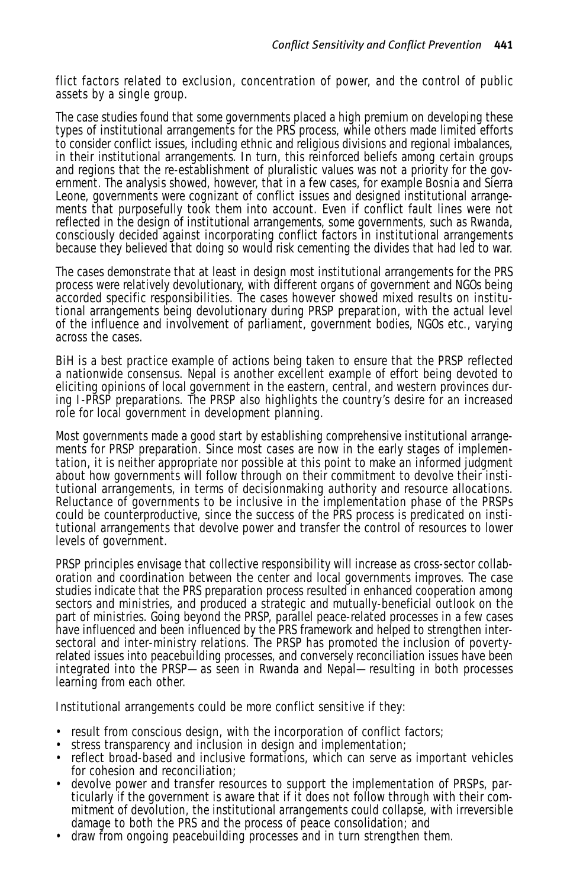flict factors related to exclusion, concentration of power, and the control of public assets by a single group.

The case studies found that some governments placed a high premium on developing these types of institutional arrangements for the PRS process, while others made limited efforts to consider conflict issues, including ethnic and religious divisions and regional imbalances, in their institutional arrangements. In turn, this reinforced beliefs among certain groups and regions that the re-establishment of pluralistic values was not a priority for the government. The analysis showed, however, that in a few cases, for example Bosnia and Sierra Leone, governments were cognizant of conflict issues and designed institutional arrangements that purposefully took them into account. Even if conflict fault lines were not reflected in the design of institutional arrangements, some governments, such as Rwanda, consciously decided against incorporating conflict factors in institutional arrangements because they believed that doing so would risk cementing the divides that had led to war.

The cases demonstrate that at least in design most institutional arrangements for the PRS process were relatively devolutionary, with different organs of government and NGOs being accorded specific responsibilities. The cases however showed mixed results on institutional arrangements being devolutionary during PRSP preparation, with the actual level of the influence and involvement of parliament, government bodies, NGOs etc., varying across the cases.

BiH is a best practice example of actions being taken to ensure that the PRSP reflected a nationwide consensus. Nepal is another excellent example of effort being devoted to eliciting opinions of local government in the eastern, central, and western provinces during I-PRSP preparations. The PRSP also highlights the country's desire for an increased role for local government in development planning.

Most governments made a good start by establishing comprehensive institutional arrangements for PRSP preparation. Since most cases are now in the early stages of implementation, it is neither appropriate nor possible at this point to make an informed judgment about how governments will follow through on their commitment to devolve their institutional arrangements, in terms of decisionmaking authority and resource allocations. Reluctance of governments to be inclusive in the implementation phase of the PRSPs could be counterproductive, since the success of the PRS process is predicated on institutional arrangements that devolve power and transfer the control of resources to lower levels of government.

PRSP principles envisage that collective responsibility will increase as cross-sector collaboration and coordination between the center and local governments improves. The case studies indicate that the PRS preparation process resulted in enhanced cooperation among sectors and ministries, and produced a strategic and mutually-beneficial outlook on the part of ministries. Going beyond the PRSP, parallel peace-related processes in a few cases have influenced and been influenced by the PRS framework and helped to strengthen intersectoral and inter-ministry relations. The PRSP has promoted the inclusion of povertyrelated issues into peacebuilding processes, and conversely reconciliation issues have been integrated into the PRSP—as seen in Rwanda and Nepal—resulting in both processes learning from each other.

Institutional arrangements could be more conflict sensitive if they:

- result from conscious design, with the incorporation of conflict factors;
- stress transparency and inclusion in design and implementation;
- reflect broad-based and inclusive formations, which can serve as important vehicles for cohesion and reconciliation;
- devolve power and transfer resources to support the implementation of PRSPs, particularly if the government is aware that if it does not follow through with their commitment of devolution, the institutional arrangements could collapse, with irreversible damage to both the PRS and the process of peace consolidation; and
- draw from ongoing peacebuilding processes and in turn strengthen them.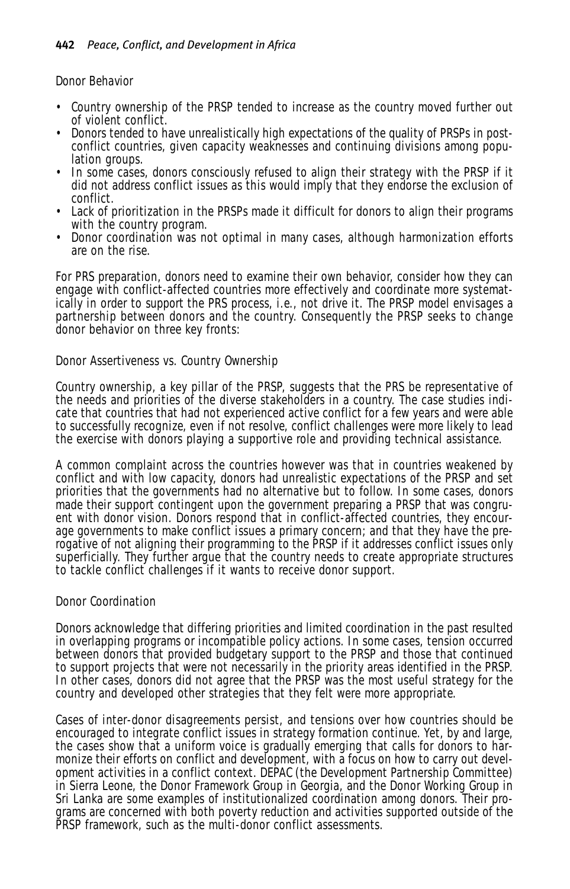### *Donor Behavior*

- Country ownership of the PRSP tended to increase as the country moved further out of violent conflict.
- Donors tended to have unrealistically high expectations of the quality of PRSPs in postconflict countries, given capacity weaknesses and continuing divisions among population groups.
- In some cases, donors consciously refused to align their strategy with the PRSP if it did not address conflict issues as this would imply that they endorse the exclusion of conflict.
- Lack of prioritization in the PRSPs made it difficult for donors to align their programs with the country program.
- Donor coordination was not optimal in many cases, although harmonization efforts are on the rise.

For PRS preparation, donors need to examine their own behavior, consider how they can engage with conflict-affected countries more effectively and coordinate more systematically in order to *support* the PRS process, i.e., not drive it. The PRSP model envisages a partnership between donors and the country. Consequently the PRSP seeks to change donor behavior on three key fronts:

### Donor Assertiveness vs. Country Ownership

Country ownership, a key pillar of the PRSP, suggests that the PRS be representative of the needs and priorities of the diverse stakeholders in a country. The case studies indicate that countries that had not experienced active conflict for a few years and were able to successfully recognize, even if not resolve, conflict challenges were more likely to lead the exercise with donors playing a supportive role and providing technical assistance.

A common complaint across the countries however was that in countries weakened by conflict and with low capacity, donors had unrealistic expectations of the PRSP and set priorities that the governments had no alternative but to follow. In some cases, donors made their support contingent upon the government preparing a PRSP that was congruent with donor vision. Donors respond that in conflict-affected countries, they encourage governments to make conflict issues a primary concern; and that they have the prerogative of not aligning their programming to the PRSP if it addresses conflict issues only superficially. They further argue that the country needs to create appropriate structures to tackle conflict challenges if it wants to receive donor support.

# Donor Coordination

Donors acknowledge that differing priorities and limited coordination in the past resulted in overlapping programs or incompatible policy actions. In some cases, tension occurred between donors that provided budgetary support to the PRSP and those that continued to support projects that were not necessarily in the priority areas identified in the PRSP. In other cases, donors did not agree that the PRSP was the most useful strategy for the country and developed other strategies that they felt were more appropriate.

Cases of inter-donor disagreements persist, and tensions over how countries should be encouraged to integrate conflict issues in strategy formation continue. Yet, by and large, the cases show that a uniform voice is gradually emerging that calls for donors to harmonize their efforts on conflict and development, with a focus on how to carry out development activities in a conflict context. DEPAC (the Development Partnership Committee) in Sierra Leone, the Donor Framework Group in Georgia, and the Donor Working Group in Sri Lanka are some examples of institutionalized coordination among donors. Their programs are concerned with both poverty reduction and activities supported outside of the PRSP framework, such as the multi-donor conflict assessments.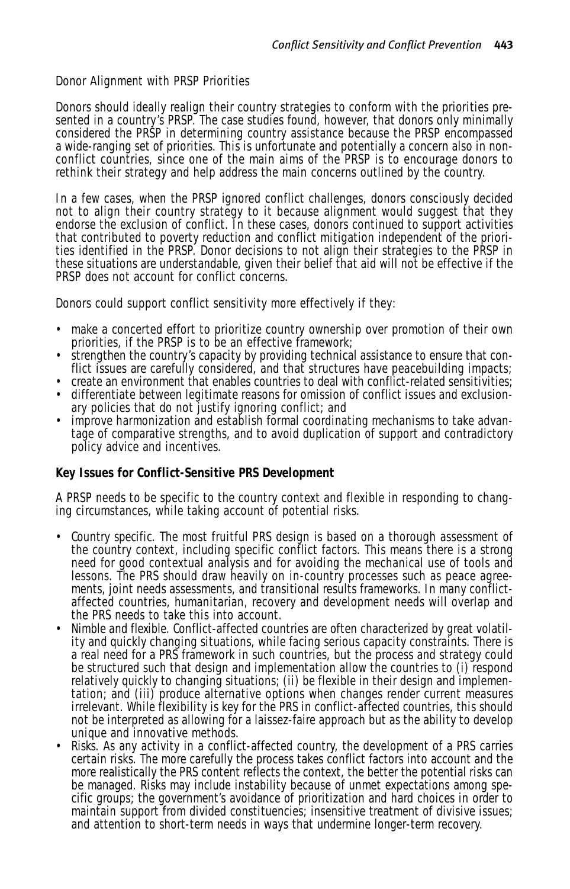# Donor Alignment with PRSP Priorities

Donors should ideally realign their country strategies to conform with the priorities presented in a country's PRSP. The case studies found, however, that donors only minimally considered the PRSP in determining country assistance because the PRSP encompassed a wide-ranging set of priorities. This is unfortunate and potentially a concern also in nonconflict countries, since one of the main aims of the PRSP is to encourage donors to rethink their strategy and help address the main concerns outlined by the country.

In a few cases, when the PRSP ignored conflict challenges, donors consciously decided not to align their country strategy to it because alignment would suggest that they endorse the exclusion of conflict. In these cases, donors continued to support activities that contributed to poverty reduction and conflict mitigation independent of the priorities identified in the PRSP. Donor decisions to not align their strategies to the PRSP in these situations are understandable, given their belief that aid will not be effective if the PRSP does not account for conflict concerns.

Donors could support conflict sensitivity more effectively if they:

- make a concerted effort to prioritize country ownership over promotion of their own priorities, if the PRSP is to be an effective framework;
- strengthen the country's capacity by providing technical assistance to ensure that conflict issues are carefully considered, and that structures have peacebuilding impacts;
- create an environment that enables countries to deal with conflict-related sensitivities;
- differentiate between legitimate reasons for omission of conflict issues and exclusionary policies that do not justify ignoring conflict; and
- improve harmonization and establish formal coordinating mechanisms to take advantage of comparative strengths, and to avoid duplication of support and contradictory policy advice and incentives.

# **Key Issues for Conflict-Sensitive PRS Development**

A PRSP needs to be specific to the country context and flexible in responding to changing circumstances, while taking account of potential risks.

- *Country specific*. The most fruitful PRS design is based on a thorough assessment of the country context, including specific conflict factors. This means there is a strong need for good contextual analysis and for avoiding the mechanical use of tools and lessons. The PRS should draw heavily on in-country processes such as peace agreements, joint needs assessments, and transitional results frameworks. In many conflictaffected countries, humanitarian, recovery and development needs will overlap and the PRS needs to take this into account.
- Nimble and flexible. Conflict-affected countries are often characterized by great volatility and quickly changing situations, while facing serious capacity constraints. There is a real need for a PRS framework in such countries, but the process and strategy could be structured such that design and implementation allow the countries to (i) respond relatively quickly to changing situations; (ii) be flexible in their design and implementation; and (iii) produce alternative options when changes render current measures irrelevant. While flexibility is key for the PRS in conflict-affected countries, this should not be interpreted as allowing for a laissez-faire approach but as the ability to develop unique and innovative methods.
- *Risks*. As any activity in a conflict-affected country, the development of a PRS carries certain risks. The more carefully the process takes conflict factors into account and the more realistically the PRS content reflects the context, the better the potential risks can be managed. Risks may include instability because of unmet expectations among specific groups; the government's avoidance of prioritization and hard choices in order to maintain support from divided constituencies; insensitive treatment of divisive issues; and attention to short-term needs in ways that undermine longer-term recovery.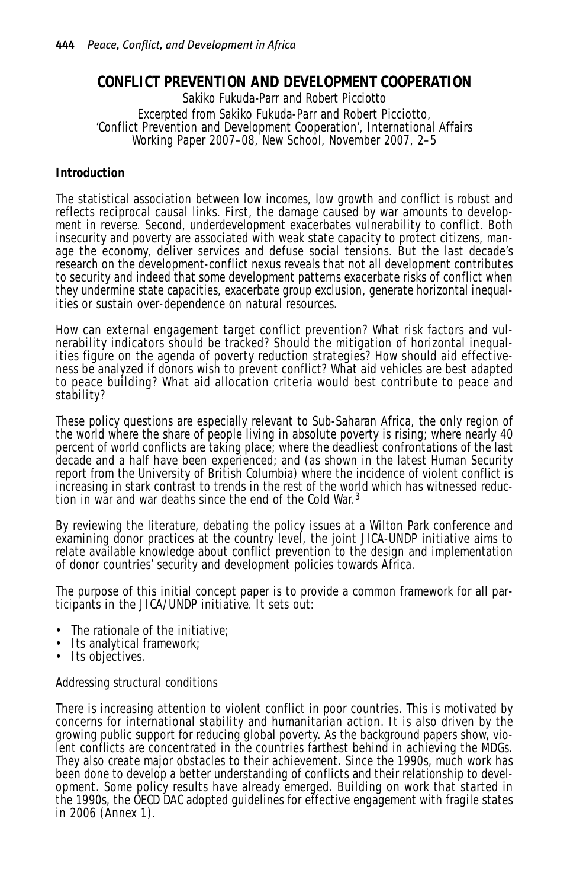# **CONFLICT PREVENTION AND DEVELOPMENT COOPERATION**

*Sakiko Fukuda-Parr and Robert Picciotto* Excerpted from Sakiko Fukuda-Parr and Robert Picciotto, 'Conflict Prevention and Development Cooperation', International Affairs Working Paper 2007–08, New School, November 2007, 2–5

# **Introduction**

The statistical association between low incomes, low growth and conflict is robust and reflects reciprocal causal links. First, the damage caused by war amounts to development in reverse. Second, underdevelopment exacerbates vulnerability to conflict. Both insecurity and poverty are associated with weak state capacity to protect citizens, manage the economy, deliver services and defuse social tensions. But the last decade's research on the development-conflict nexus reveals that not all development contributes to security and indeed that some development patterns exacerbate risks of conflict when they undermine state capacities, exacerbate group exclusion, generate horizontal inequalities or sustain over-dependence on natural resources.

How can external engagement target conflict prevention? What risk factors and vulnerability indicators should be tracked? Should the mitigation of horizontal inequalities figure on the agenda of poverty reduction strategies? How should aid effectiveness be analyzed if donors wish to prevent conflict? What aid vehicles are best adapted to peace building? What aid allocation criteria would best contribute to peace and stability?

These policy questions are especially relevant to Sub-Saharan Africa, the only region of the world where the share of people living in absolute poverty is rising; where nearly 40 percent of world conflicts are taking place; where the deadliest confrontations of the last decade and a half have been experienced; and (as shown in the latest Human Security report from the University of British Columbia) where the incidence of violent conflict is increasing in stark contrast to trends in the rest of the world which has witnessed reduction in war and war deaths since the end of the Cold War.<sup>3</sup>

By reviewing the literature, debating the policy issues at a Wilton Park conference and examining donor practices at the country level, the joint JICA-UNDP initiative aims to relate available knowledge about conflict prevention to the design and implementation of donor countries' security and development policies towards Africa.

The purpose of this initial concept paper is to provide a common framework for all participants in the JICA/UNDP initiative. It sets out:

- The rationale of the initiative;
- Its analytical framework;<br>• Its objectives
- Its objectives.

# *Addressing structural conditions*

There is increasing attention to violent conflict in poor countries. This is motivated by concerns for international stability and humanitarian action. It is also driven by the growing public support for reducing global poverty. As the background papers show, violent conflicts are concentrated in the countries farthest behind in achieving the MDGs. They also create major obstacles to their achievement. Since the 1990s, much work has been done to develop a better understanding of conflicts and their relationship to development. Some policy results have already emerged. Building on work that started in the 1990s, the OECD DAC adopted guidelines for effective engagement with fragile states in 2006 (Annex 1).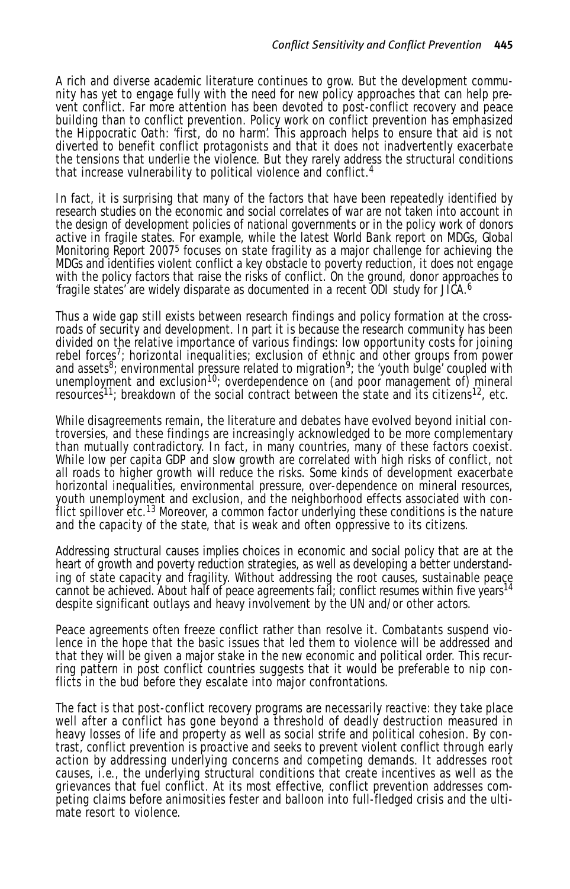A rich and diverse academic literature continues to grow. But the development community has yet to engage fully with the need for new policy approaches that can help prevent conflict. Far more attention has been devoted to post-conflict recovery and peace building than to conflict prevention. Policy work on conflict prevention has emphasized the Hippocratic Oath: 'first, do no harm'. This approach helps to ensure that aid is not diverted to benefit conflict protagonists and that it does not inadvertently exacerbate the tensions that underlie the violence. But they rarely address the structural conditions that increase vulnerability to political violence and conflict.4

In fact, it is surprising that many of the factors that have been repeatedly identified by research studies on the economic and social correlates of war are not taken into account in the design of development policies of national governments or in the policy work of donors active in fragile states. For example, while the latest World Bank report on MDGs, *Global Monitoring Report 2007*5 focuses on state fragility as a major challenge for achieving the MDGs and identifies violent conflict a key obstacle to poverty reduction, it does not engage with the policy factors that raise the risks of conflict. On the ground, donor approaches to 'fragile states' are widely disparate as documented in a recent ODI study for JICA.6

Thus a wide gap still exists between research findings and policy formation at the crossroads of security and development. In part it is because the research community has been divided on the relative importance of various findings: low opportunity costs for joining rebel forces<sup>7</sup>; horizontal inequalities; exclusion of ethnic and other groups from power and assets<sup>8</sup>; environmental pressure related to migration<sup>9</sup>; the 'youth bulge' coupled with unemployment and exclusion<sup>10</sup>; overdependence on (and poor management of) mineral resources<sup>11</sup>; breakdown of the social contract between the state and its citizens<sup>12</sup>, etc.

While disagreements remain, the literature and debates have evolved beyond initial controversies, and these findings are increasingly acknowledged to be more complementary than mutually contradictory. In fact, in many countries, many of these factors coexist. While low per capita GDP and slow growth are correlated with high risks of conflict, not all roads to higher growth will reduce the risks. Some kinds of development exacerbate horizontal inequalities, environmental pressure, over-dependence on mineral resources, youth unemployment and exclusion, and the neighborhood effects associated with conflict spillover etc.<sup>13</sup> Moreover, a common factor underlying these conditions is the nature and the capacity of the state, that is weak and often oppressive to its citizens.

Addressing structural causes implies choices in economic and social policy that are at the heart of growth and poverty reduction strategies, as well as developing a better understanding of state capacity and fragility. Without addressing the root causes, sustainable peace cannot be achieved. About half of peace agreements fail; conflict resumes within five vears<sup>14</sup> despite significant outlays and heavy involvement by the UN and/or other actors.

Peace agreements often freeze conflict rather than resolve it. Combatants suspend violence in the hope that the basic issues that led them to violence will be addressed and that they will be given a major stake in the new economic and political order. This recurring pattern in post conflict countries suggests that it would be preferable to nip conflicts in the bud before they escalate into major confrontations.

The fact is that post-conflict recovery programs are necessarily reactive: they take place well after a conflict has gone beyond a threshold of deadly destruction measured in heavy losses of life and property as well as social strife and political cohesion. By contrast, conflict prevention is proactive and seeks to prevent violent conflict through early action by addressing underlying concerns and competing demands. It addresses root causes, i.e., the underlying structural conditions that create incentives as well as the grievances that fuel conflict. At its most effective, conflict prevention addresses competing claims before animosities fester and balloon into full-fledged crisis and the ultimate resort to violence.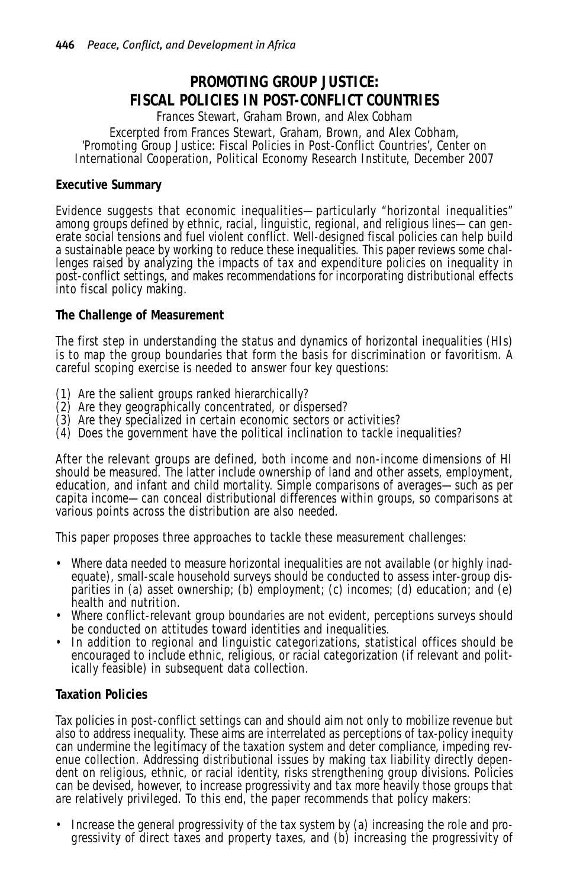# **PROMOTING GROUP JUSTICE: FISCAL POLICIES IN POST-CONFLICT COUNTRIES**

*Frances Stewart, Graham Brown, and Alex Cobham* Excerpted from Frances Stewart, Graham, Brown, and Alex Cobham, 'Promoting Group Justice: Fiscal Policies in Post-Conflict Countries', Center on International Cooperation, Political Economy Research Institute, December 2007

### **Executive Summary**

Evidence suggests that economic inequalities—particularly "horizontal inequalities" among groups defined by ethnic, racial, linguistic, regional, and religious lines—can generate social tensions and fuel violent conflict. Well-designed fiscal policies can help build a sustainable peace by working to reduce these inequalities. This paper reviews some challenges raised by analyzing the impacts of tax and expenditure policies on inequality in post-conflict settings, and makes recommendations for incorporating distributional effects into fiscal policy making.

### **The Challenge of Measurement**

The first step in understanding the status and dynamics of horizontal inequalities (HIs) is to map the group boundaries that form the basis for discrimination or favoritism. A careful scoping exercise is needed to answer four key questions:

- (1) Are the salient groups ranked hierarchically?
- (2) Are they geographically concentrated, or dispersed?
- (3) Are they specialized in certain economic sectors or activities?
- (4) Does the government have the political inclination to tackle inequalities?

After the relevant groups are defined, both income and non-income dimensions of HI should be measured. The latter include ownership of land and other assets, employment, education, and infant and child mortality. Simple comparisons of averages—such as per capita income—can conceal distributional differences within groups, so comparisons at various points across the distribution are also needed.

This paper proposes three approaches to tackle these measurement challenges:

- Where data needed to measure horizontal inequalities are not available (or highly inadequate), small-scale household surveys should be conducted to assess inter-group disparities in (a) asset ownership; (b) employment; (c) incomes; (d) education; and (e) health and nutrition.
- Where conflict-relevant group boundaries are not evident, perceptions surveys should be conducted on attitudes toward identities and inequalities.
- In addition to regional and linguistic categorizations, statistical offices should be encouraged to include ethnic, religious, or racial categorization (if relevant and politically feasible) in subsequent data collection.

# **Taxation Policies**

Tax policies in post-conflict settings can and should aim not only to mobilize revenue but also to address inequality. These aims are interrelated as perceptions of tax-policy inequity can undermine the legitimacy of the taxation system and deter compliance, impeding revenue collection. Addressing distributional issues by making tax liability directly dependent on religious, ethnic, or racial identity, risks strengthening group divisions. Policies can be devised, however, to increase progressivity and tax more heavily those groups that are relatively privileged. To this end, the paper recommends that policy makers:

• Increase the general progressivity of the tax system by (a) increasing the role and progressivity of direct taxes and property taxes, and (b) increasing the progressivity of